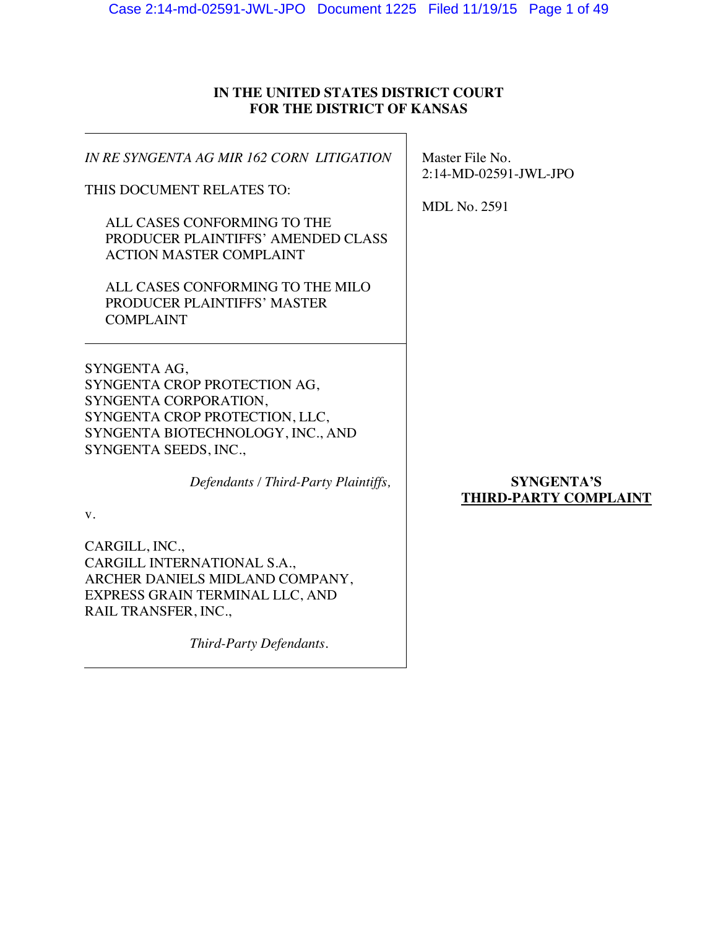# **IN THE UNITED STATES DISTRICT COURT FOR THE DISTRICT OF KANSAS**

| IN RE SYNGENTA AG MIR 162 CORN LITIGATION                                                                                                                             | Master File No.<br>2:14-MD-02591-JWL-JPO   |  |
|-----------------------------------------------------------------------------------------------------------------------------------------------------------------------|--------------------------------------------|--|
| THIS DOCUMENT RELATES TO:                                                                                                                                             | <b>MDL No. 2591</b>                        |  |
| ALL CASES CONFORMING TO THE<br>PRODUCER PLAINTIFFS' AMENDED CLASS<br><b>ACTION MASTER COMPLAINT</b>                                                                   |                                            |  |
| ALL CASES CONFORMING TO THE MILO<br>PRODUCER PLAINTIFFS' MASTER<br><b>COMPLAINT</b>                                                                                   |                                            |  |
| SYNGENTA AG,<br>SYNGENTA CROP PROTECTION AG,<br>SYNGENTA CORPORATION,<br>SYNGENTA CROP PROTECTION, LLC,<br>SYNGENTA BIOTECHNOLOGY, INC., AND<br>SYNGENTA SEEDS, INC., |                                            |  |
| Defendants / Third-Party Plaintiffs,<br>V.                                                                                                                            | <b>SYNGENTA'S</b><br>THIRD-PARTY COMPLAINT |  |
| CARGILL, INC.,<br>CARGILL INTERNATIONAL S.A.,<br>ARCHER DANIELS MIDLAND COMPANY,<br>EXPRESS GRAIN TERMINAL LLC, AND<br>RAIL TRANSFER, INC.,                           |                                            |  |
| Third-Party Defendants.                                                                                                                                               |                                            |  |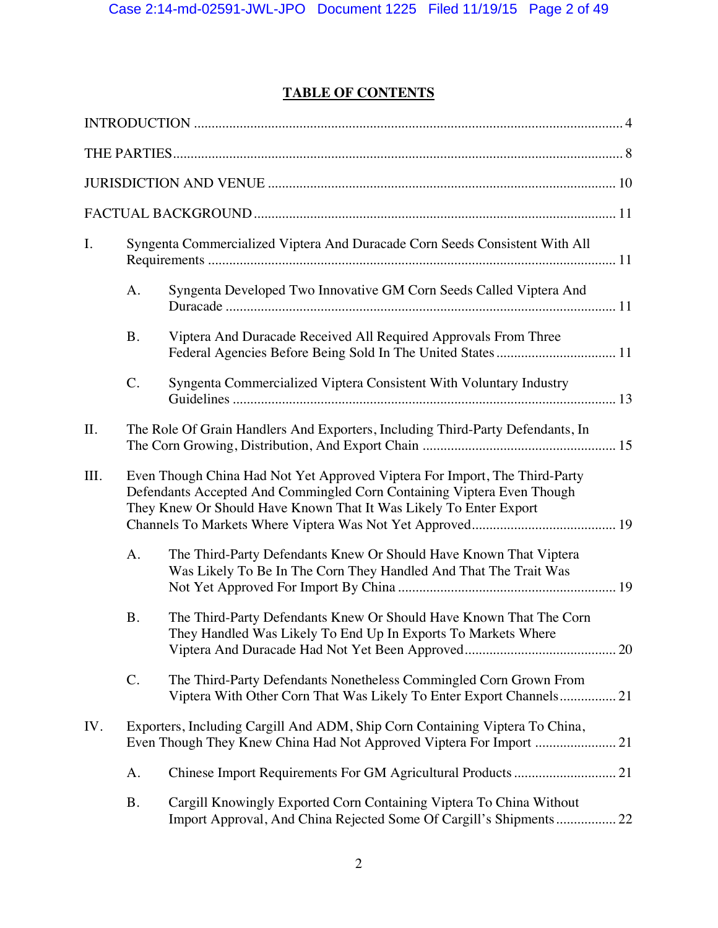# **TABLE OF CONTENTS**

| I.                                                                                                                                                                                                                                | Syngenta Commercialized Viptera And Duracade Corn Seeds Consistent With All |                                                                                                                                           |  |
|-----------------------------------------------------------------------------------------------------------------------------------------------------------------------------------------------------------------------------------|-----------------------------------------------------------------------------|-------------------------------------------------------------------------------------------------------------------------------------------|--|
|                                                                                                                                                                                                                                   | A.                                                                          | Syngenta Developed Two Innovative GM Corn Seeds Called Viptera And                                                                        |  |
|                                                                                                                                                                                                                                   | <b>B.</b>                                                                   | Viptera And Duracade Received All Required Approvals From Three                                                                           |  |
|                                                                                                                                                                                                                                   | C.                                                                          | Syngenta Commercialized Viptera Consistent With Voluntary Industry                                                                        |  |
| II.                                                                                                                                                                                                                               |                                                                             | The Role Of Grain Handlers And Exporters, Including Third-Party Defendants, In                                                            |  |
| III.<br>Even Though China Had Not Yet Approved Viptera For Import, The Third-Party<br>Defendants Accepted And Commingled Corn Containing Viptera Even Though<br>They Knew Or Should Have Known That It Was Likely To Enter Export |                                                                             |                                                                                                                                           |  |
|                                                                                                                                                                                                                                   | A.                                                                          | The Third-Party Defendants Knew Or Should Have Known That Viptera<br>Was Likely To Be In The Corn They Handled And That The Trait Was     |  |
|                                                                                                                                                                                                                                   | <b>B.</b>                                                                   | The Third-Party Defendants Knew Or Should Have Known That The Corn<br>They Handled Was Likely To End Up In Exports To Markets Where       |  |
|                                                                                                                                                                                                                                   | C.                                                                          | The Third-Party Defendants Nonetheless Commingled Corn Grown From<br>Viptera With Other Corn That Was Likely To Enter Export Channels 21  |  |
| IV.                                                                                                                                                                                                                               |                                                                             | Exporters, Including Cargill And ADM, Ship Corn Containing Viptera To China,                                                              |  |
|                                                                                                                                                                                                                                   | A.                                                                          |                                                                                                                                           |  |
|                                                                                                                                                                                                                                   | <b>B.</b>                                                                   | Cargill Knowingly Exported Corn Containing Viptera To China Without<br>Import Approval, And China Rejected Some Of Cargill's Shipments 22 |  |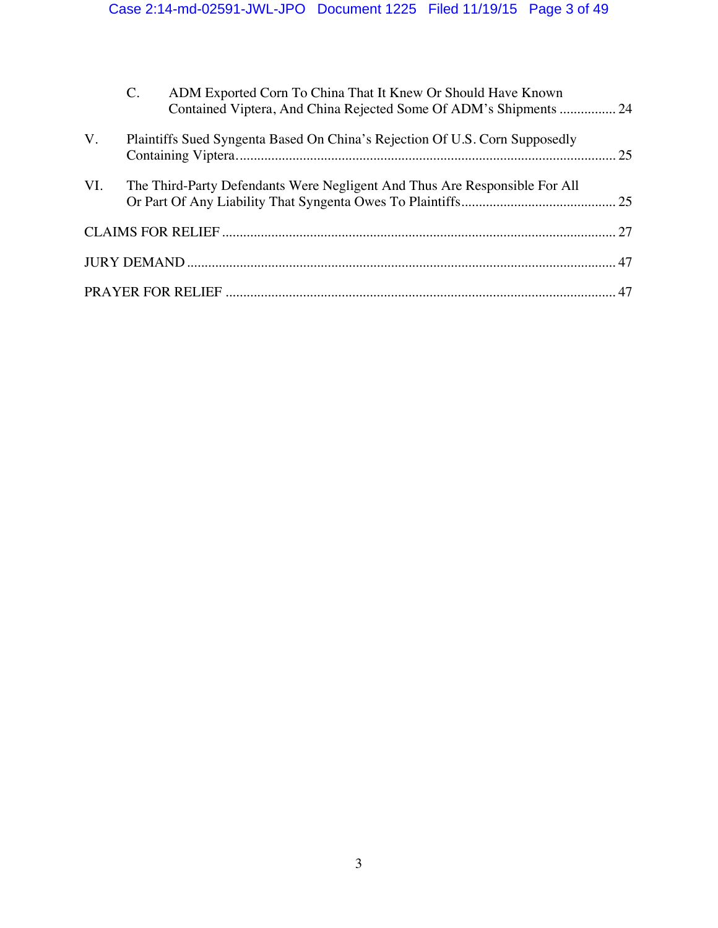|     | $C_{\cdot}$ | ADM Exported Corn To China That It Knew Or Should Have Known<br>Contained Viptera, And China Rejected Some Of ADM's Shipments  24 |  |
|-----|-------------|-----------------------------------------------------------------------------------------------------------------------------------|--|
| V.  |             | Plaintiffs Sued Syngenta Based On China's Rejection Of U.S. Corn Supposedly                                                       |  |
| VI. |             | The Third-Party Defendants Were Negligent And Thus Are Responsible For All                                                        |  |
|     |             |                                                                                                                                   |  |
|     |             |                                                                                                                                   |  |
|     |             |                                                                                                                                   |  |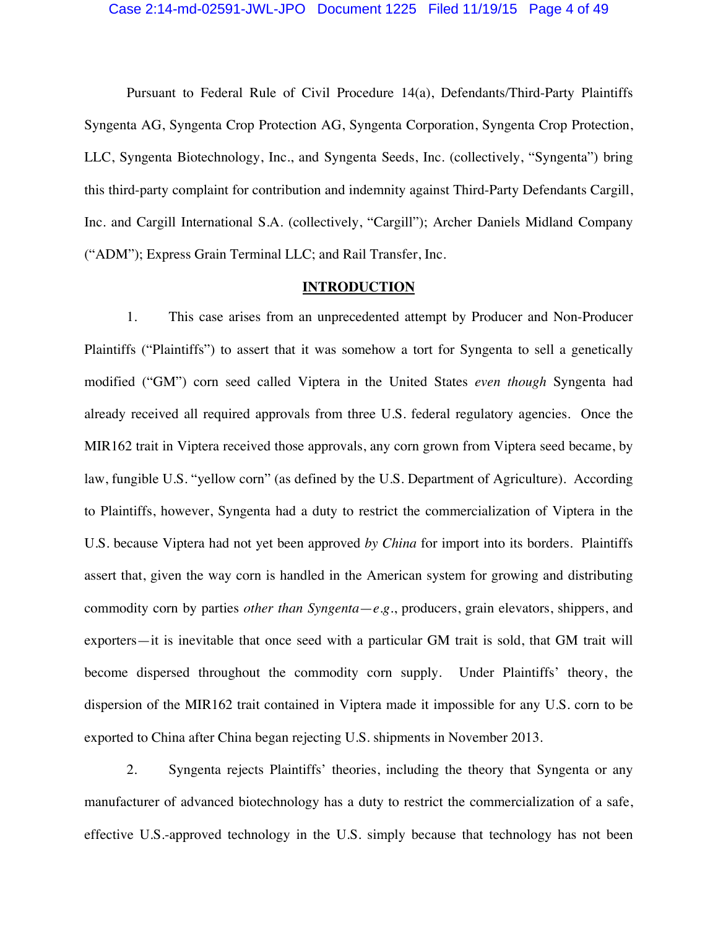Pursuant to Federal Rule of Civil Procedure 14(a), Defendants/Third-Party Plaintiffs Syngenta AG, Syngenta Crop Protection AG, Syngenta Corporation, Syngenta Crop Protection, LLC, Syngenta Biotechnology, Inc., and Syngenta Seeds, Inc. (collectively, "Syngenta") bring this third-party complaint for contribution and indemnity against Third-Party Defendants Cargill, Inc. and Cargill International S.A. (collectively, "Cargill"); Archer Daniels Midland Company ("ADM"); Express Grain Terminal LLC; and Rail Transfer, Inc.

### **INTRODUCTION**

1. This case arises from an unprecedented attempt by Producer and Non-Producer Plaintiffs ("Plaintiffs") to assert that it was somehow a tort for Syngenta to sell a genetically modified ("GM") corn seed called Viptera in the United States *even though* Syngenta had already received all required approvals from three U.S. federal regulatory agencies. Once the MIR162 trait in Viptera received those approvals, any corn grown from Viptera seed became, by law, fungible U.S. "yellow corn" (as defined by the U.S. Department of Agriculture). According to Plaintiffs, however, Syngenta had a duty to restrict the commercialization of Viptera in the U.S. because Viptera had not yet been approved *by China* for import into its borders. Plaintiffs assert that, given the way corn is handled in the American system for growing and distributing commodity corn by parties *other than Syngenta*—*e.g.*, producers, grain elevators, shippers, and exporters—it is inevitable that once seed with a particular GM trait is sold, that GM trait will become dispersed throughout the commodity corn supply. Under Plaintiffs' theory, the dispersion of the MIR162 trait contained in Viptera made it impossible for any U.S. corn to be exported to China after China began rejecting U.S. shipments in November 2013.

2. Syngenta rejects Plaintiffs' theories, including the theory that Syngenta or any manufacturer of advanced biotechnology has a duty to restrict the commercialization of a safe, effective U.S.-approved technology in the U.S. simply because that technology has not been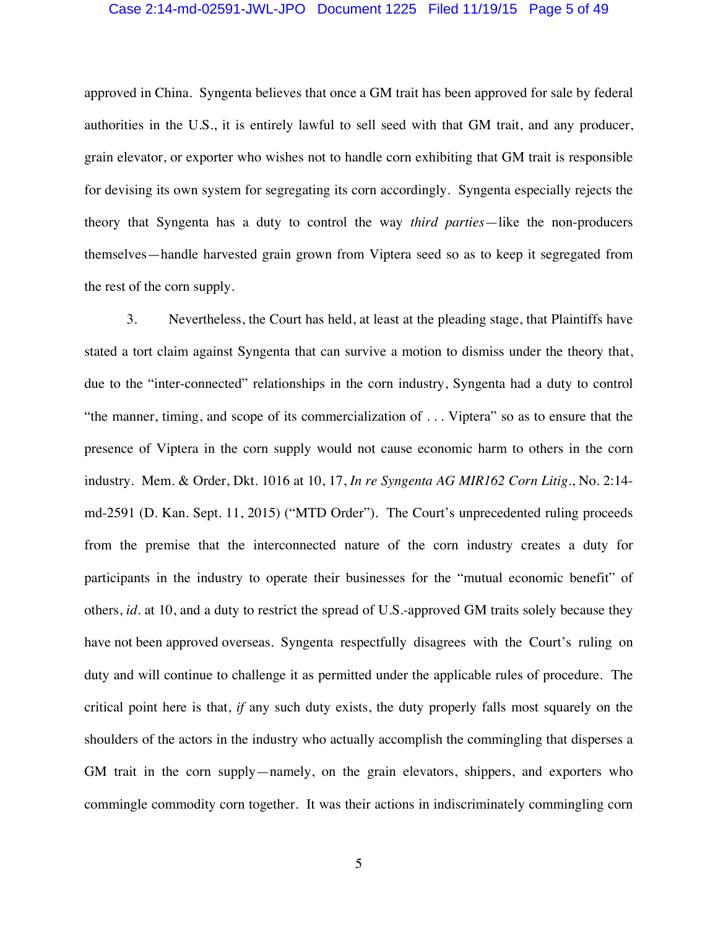### Case 2:14-md-02591-JWL-JPO Document 1225 Filed 11/19/15 Page 5 of 49

approved in China. Syngenta believes that once a GM trait has been approved for sale by federal authorities in the U.S., it is entirely lawful to sell seed with that GM trait, and any producer, grain elevator, or exporter who wishes not to handle corn exhibiting that GM trait is responsible for devising its own system for segregating its corn accordingly. Syngenta especially rejects the theory that Syngenta has a duty to control the way *third parties*—like the non-producers themselves—handle harvested grain grown from Viptera seed so as to keep it segregated from the rest of the corn supply.

3. Nevertheless, the Court has held, at least at the pleading stage, that Plaintiffs have stated a tort claim against Syngenta that can survive a motion to dismiss under the theory that, due to the "inter-connected" relationships in the corn industry, Syngenta had a duty to control "the manner, timing, and scope of its commercialization of . . . Viptera" so as to ensure that the presence of Viptera in the corn supply would not cause economic harm to others in the corn industry. Mem. & Order, Dkt. 1016 at 10, 17, *In re Syngenta AG MIR162 Corn Litig.*, No. 2:14 md-2591 (D. Kan. Sept. 11, 2015) ("MTD Order"). The Court's unprecedented ruling proceeds from the premise that the interconnected nature of the corn industry creates a duty for participants in the industry to operate their businesses for the "mutual economic benefit" of others, *id.* at 10, and a duty to restrict the spread of U.S.-approved GM traits solely because they have not been approved overseas. Syngenta respectfully disagrees with the Court's ruling on duty and will continue to challenge it as permitted under the applicable rules of procedure. The critical point here is that, *if* any such duty exists, the duty properly falls most squarely on the shoulders of the actors in the industry who actually accomplish the commingling that disperses a GM trait in the corn supply—namely, on the grain elevators, shippers, and exporters who commingle commodity corn together. It was their actions in indiscriminately commingling corn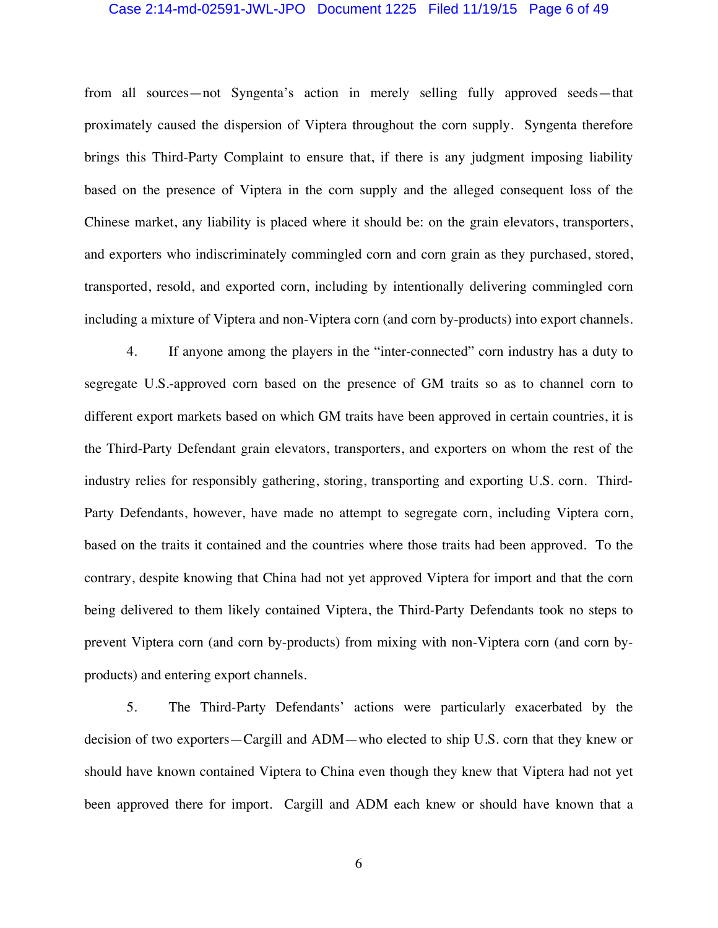#### Case 2:14-md-02591-JWL-JPO Document 1225 Filed 11/19/15 Page 6 of 49

from all sources—not Syngenta's action in merely selling fully approved seeds—that proximately caused the dispersion of Viptera throughout the corn supply. Syngenta therefore brings this Third-Party Complaint to ensure that, if there is any judgment imposing liability based on the presence of Viptera in the corn supply and the alleged consequent loss of the Chinese market, any liability is placed where it should be: on the grain elevators, transporters, and exporters who indiscriminately commingled corn and corn grain as they purchased, stored, transported, resold, and exported corn, including by intentionally delivering commingled corn including a mixture of Viptera and non-Viptera corn (and corn by-products) into export channels.

4. If anyone among the players in the "inter-connected" corn industry has a duty to segregate U.S.-approved corn based on the presence of GM traits so as to channel corn to different export markets based on which GM traits have been approved in certain countries, it is the Third-Party Defendant grain elevators, transporters, and exporters on whom the rest of the industry relies for responsibly gathering, storing, transporting and exporting U.S. corn. Third-Party Defendants, however, have made no attempt to segregate corn, including Viptera corn, based on the traits it contained and the countries where those traits had been approved. To the contrary, despite knowing that China had not yet approved Viptera for import and that the corn being delivered to them likely contained Viptera, the Third-Party Defendants took no steps to prevent Viptera corn (and corn by-products) from mixing with non-Viptera corn (and corn byproducts) and entering export channels.

5. The Third-Party Defendants' actions were particularly exacerbated by the decision of two exporters—Cargill and ADM—who elected to ship U.S. corn that they knew or should have known contained Viptera to China even though they knew that Viptera had not yet been approved there for import. Cargill and ADM each knew or should have known that a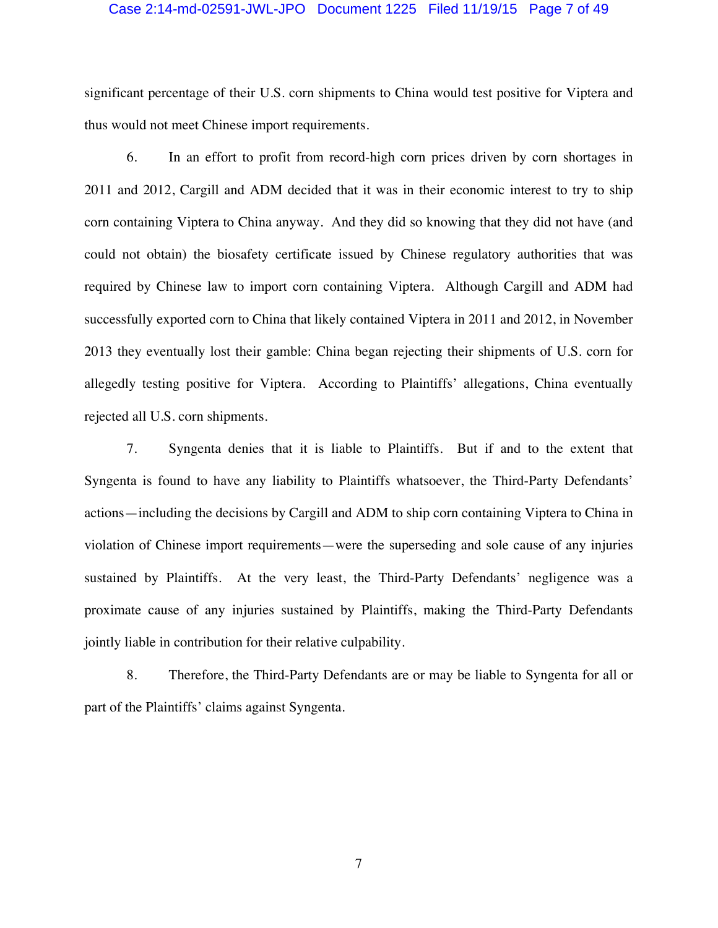#### Case 2:14-md-02591-JWL-JPO Document 1225 Filed 11/19/15 Page 7 of 49

significant percentage of their U.S. corn shipments to China would test positive for Viptera and thus would not meet Chinese import requirements.

6. In an effort to profit from record-high corn prices driven by corn shortages in 2011 and 2012, Cargill and ADM decided that it was in their economic interest to try to ship corn containing Viptera to China anyway. And they did so knowing that they did not have (and could not obtain) the biosafety certificate issued by Chinese regulatory authorities that was required by Chinese law to import corn containing Viptera. Although Cargill and ADM had successfully exported corn to China that likely contained Viptera in 2011 and 2012, in November 2013 they eventually lost their gamble: China began rejecting their shipments of U.S. corn for allegedly testing positive for Viptera. According to Plaintiffs' allegations, China eventually rejected all U.S. corn shipments.

7. Syngenta denies that it is liable to Plaintiffs. But if and to the extent that Syngenta is found to have any liability to Plaintiffs whatsoever, the Third-Party Defendants' actions—including the decisions by Cargill and ADM to ship corn containing Viptera to China in violation of Chinese import requirements—were the superseding and sole cause of any injuries sustained by Plaintiffs. At the very least, the Third-Party Defendants' negligence was a proximate cause of any injuries sustained by Plaintiffs, making the Third-Party Defendants jointly liable in contribution for their relative culpability.

8. Therefore, the Third-Party Defendants are or may be liable to Syngenta for all or part of the Plaintiffs' claims against Syngenta.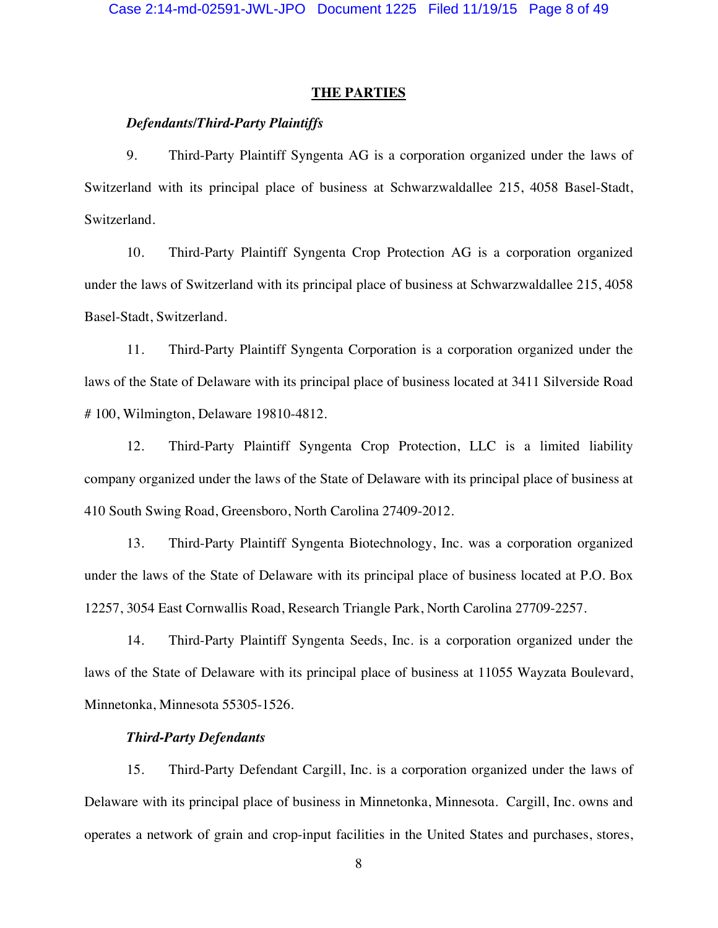#### **THE PARTIES**

### *Defendants/Third-Party Plaintiffs*

9. Third-Party Plaintiff Syngenta AG is a corporation organized under the laws of Switzerland with its principal place of business at Schwarzwaldallee 215, 4058 Basel-Stadt, Switzerland.

10. Third-Party Plaintiff Syngenta Crop Protection AG is a corporation organized under the laws of Switzerland with its principal place of business at Schwarzwaldallee 215, 4058 Basel-Stadt, Switzerland.

11. Third-Party Plaintiff Syngenta Corporation is a corporation organized under the laws of the State of Delaware with its principal place of business located at 3411 Silverside Road # 100, Wilmington, Delaware 19810-4812.

12. Third-Party Plaintiff Syngenta Crop Protection, LLC is a limited liability company organized under the laws of the State of Delaware with its principal place of business at 410 South Swing Road, Greensboro, North Carolina 27409-2012.

13. Third-Party Plaintiff Syngenta Biotechnology, Inc. was a corporation organized under the laws of the State of Delaware with its principal place of business located at P.O. Box 12257, 3054 East Cornwallis Road, Research Triangle Park, North Carolina 27709-2257.

14. Third-Party Plaintiff Syngenta Seeds, Inc. is a corporation organized under the laws of the State of Delaware with its principal place of business at 11055 Wayzata Boulevard, Minnetonka, Minnesota 55305-1526.

### *Third-Party Defendants*

15. Third-Party Defendant Cargill, Inc. is a corporation organized under the laws of Delaware with its principal place of business in Minnetonka, Minnesota. Cargill, Inc. owns and operates a network of grain and crop-input facilities in the United States and purchases, stores,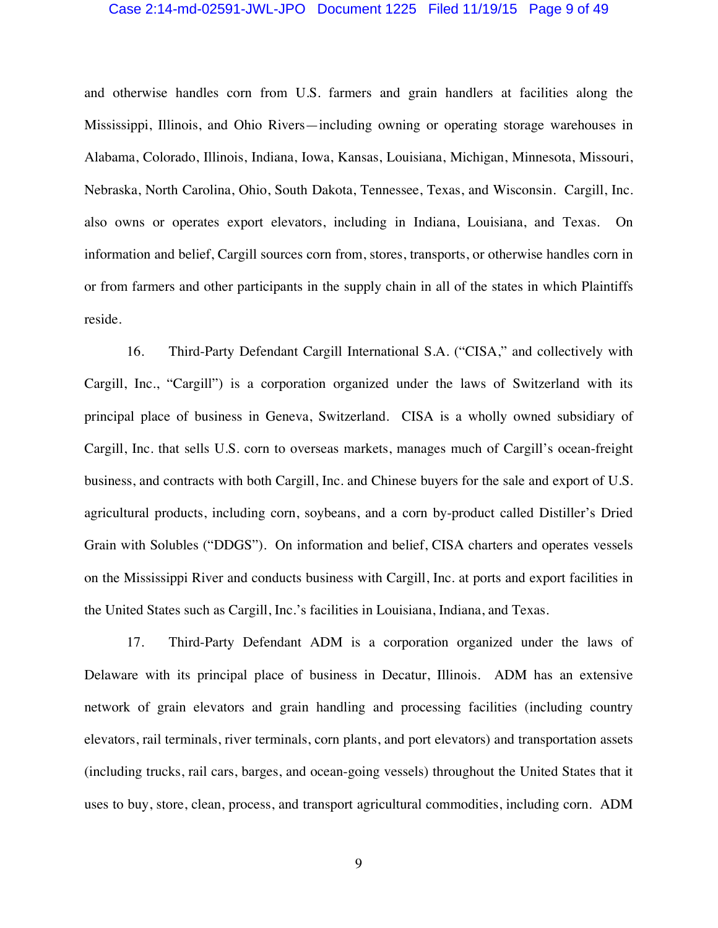#### Case 2:14-md-02591-JWL-JPO Document 1225 Filed 11/19/15 Page 9 of 49

and otherwise handles corn from U.S. farmers and grain handlers at facilities along the Mississippi, Illinois, and Ohio Rivers—including owning or operating storage warehouses in Alabama, Colorado, Illinois, Indiana, Iowa, Kansas, Louisiana, Michigan, Minnesota, Missouri, Nebraska, North Carolina, Ohio, South Dakota, Tennessee, Texas, and Wisconsin. Cargill, Inc. also owns or operates export elevators, including in Indiana, Louisiana, and Texas. On information and belief, Cargill sources corn from, stores, transports, or otherwise handles corn in or from farmers and other participants in the supply chain in all of the states in which Plaintiffs reside.

16. Third-Party Defendant Cargill International S.A. ("CISA," and collectively with Cargill, Inc., "Cargill") is a corporation organized under the laws of Switzerland with its principal place of business in Geneva, Switzerland. CISA is a wholly owned subsidiary of Cargill, Inc. that sells U.S. corn to overseas markets, manages much of Cargill's ocean-freight business, and contracts with both Cargill, Inc. and Chinese buyers for the sale and export of U.S. agricultural products, including corn, soybeans, and a corn by-product called Distiller's Dried Grain with Solubles ("DDGS"). On information and belief, CISA charters and operates vessels on the Mississippi River and conducts business with Cargill, Inc. at ports and export facilities in the United States such as Cargill, Inc.'s facilities in Louisiana, Indiana, and Texas.

17. Third-Party Defendant ADM is a corporation organized under the laws of Delaware with its principal place of business in Decatur, Illinois. ADM has an extensive network of grain elevators and grain handling and processing facilities (including country elevators, rail terminals, river terminals, corn plants, and port elevators) and transportation assets (including trucks, rail cars, barges, and ocean-going vessels) throughout the United States that it uses to buy, store, clean, process, and transport agricultural commodities, including corn. ADM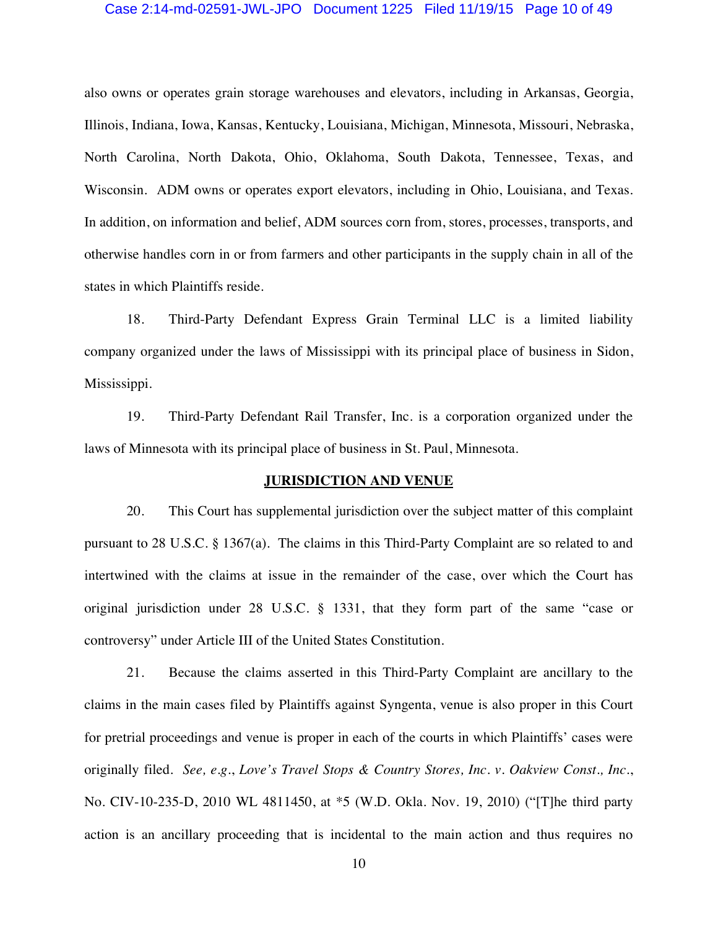#### Case 2:14-md-02591-JWL-JPO Document 1225 Filed 11/19/15 Page 10 of 49

also owns or operates grain storage warehouses and elevators, including in Arkansas, Georgia, Illinois, Indiana, Iowa, Kansas, Kentucky, Louisiana, Michigan, Minnesota, Missouri, Nebraska, North Carolina, North Dakota, Ohio, Oklahoma, South Dakota, Tennessee, Texas, and Wisconsin. ADM owns or operates export elevators, including in Ohio, Louisiana, and Texas. In addition, on information and belief, ADM sources corn from, stores, processes, transports, and otherwise handles corn in or from farmers and other participants in the supply chain in all of the states in which Plaintiffs reside.

18. Third-Party Defendant Express Grain Terminal LLC is a limited liability company organized under the laws of Mississippi with its principal place of business in Sidon, Mississippi.

19. Third-Party Defendant Rail Transfer, Inc. is a corporation organized under the laws of Minnesota with its principal place of business in St. Paul, Minnesota.

### **JURISDICTION AND VENUE**

20. This Court has supplemental jurisdiction over the subject matter of this complaint pursuant to 28 U.S.C. § 1367(a). The claims in this Third-Party Complaint are so related to and intertwined with the claims at issue in the remainder of the case, over which the Court has original jurisdiction under 28 U.S.C. § 1331, that they form part of the same "case or controversy" under Article III of the United States Constitution.

21. Because the claims asserted in this Third-Party Complaint are ancillary to the claims in the main cases filed by Plaintiffs against Syngenta, venue is also proper in this Court for pretrial proceedings and venue is proper in each of the courts in which Plaintiffs' cases were originally filed. *See, e.g.*, *Love's Travel Stops & Country Stores, Inc. v. Oakview Const., Inc.*, No. CIV-10-235-D, 2010 WL 4811450, at \*5 (W.D. Okla. Nov. 19, 2010) ("[T]he third party action is an ancillary proceeding that is incidental to the main action and thus requires no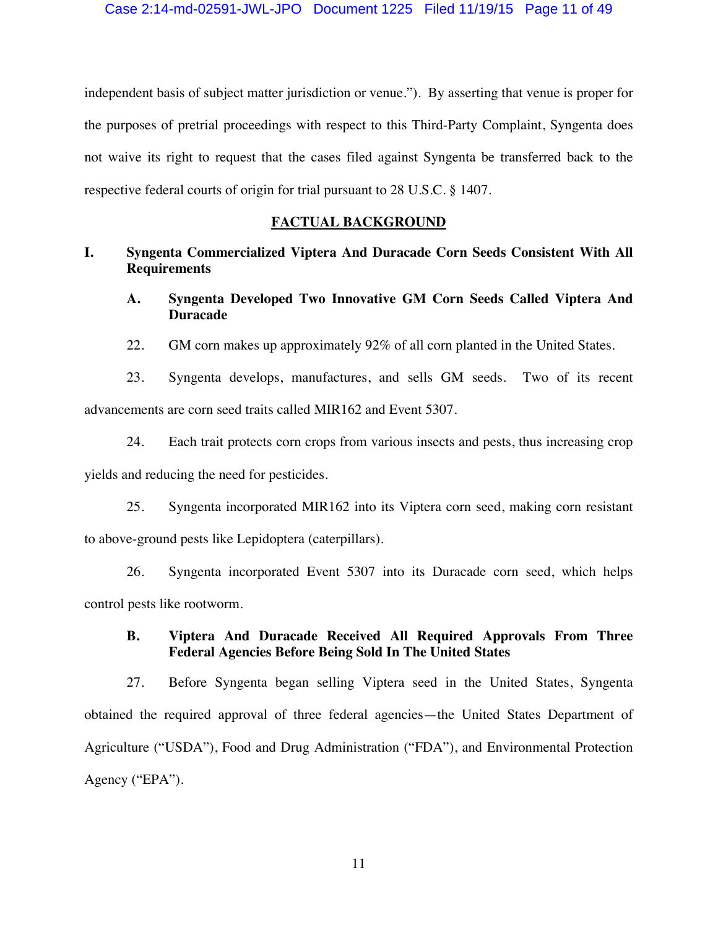independent basis of subject matter jurisdiction or venue."). By asserting that venue is proper for the purposes of pretrial proceedings with respect to this Third-Party Complaint, Syngenta does not waive its right to request that the cases filed against Syngenta be transferred back to the respective federal courts of origin for trial pursuant to 28 U.S.C. § 1407.

### **FACTUAL BACKGROUND**

## **I. Syngenta Commercialized Viptera And Duracade Corn Seeds Consistent With All Requirements**

- **A. Syngenta Developed Two Innovative GM Corn Seeds Called Viptera And Duracade**
- 22. GM corn makes up approximately 92% of all corn planted in the United States.

23. Syngenta develops, manufactures, and sells GM seeds. Two of its recent advancements are corn seed traits called MIR162 and Event 5307.

24. Each trait protects corn crops from various insects and pests, thus increasing crop yields and reducing the need for pesticides.

25. Syngenta incorporated MIR162 into its Viptera corn seed, making corn resistant to above-ground pests like Lepidoptera (caterpillars).

26. Syngenta incorporated Event 5307 into its Duracade corn seed, which helps control pests like rootworm.

## **B. Viptera And Duracade Received All Required Approvals From Three Federal Agencies Before Being Sold In The United States**

27. Before Syngenta began selling Viptera seed in the United States, Syngenta obtained the required approval of three federal agencies—the United States Department of Agriculture ("USDA"), Food and Drug Administration ("FDA"), and Environmental Protection Agency ("EPA").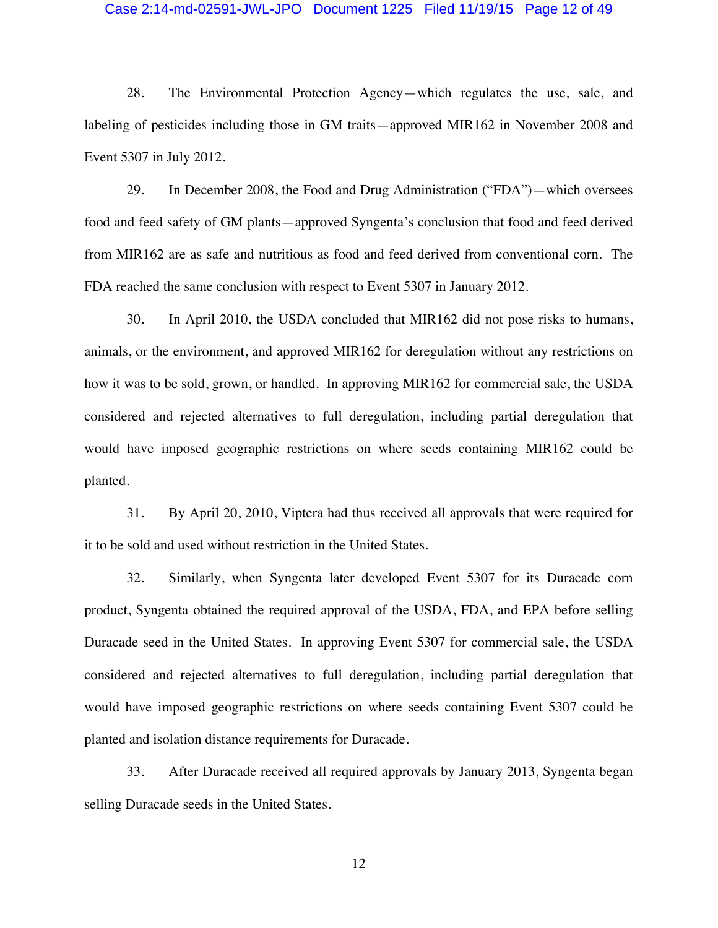#### Case 2:14-md-02591-JWL-JPO Document 1225 Filed 11/19/15 Page 12 of 49

28. The Environmental Protection Agency—which regulates the use, sale, and labeling of pesticides including those in GM traits—approved MIR162 in November 2008 and Event 5307 in July 2012.

29. In December 2008, the Food and Drug Administration ("FDA")—which oversees food and feed safety of GM plants—approved Syngenta's conclusion that food and feed derived from MIR162 are as safe and nutritious as food and feed derived from conventional corn. The FDA reached the same conclusion with respect to Event 5307 in January 2012.

30. In April 2010, the USDA concluded that MIR162 did not pose risks to humans, animals, or the environment, and approved MIR162 for deregulation without any restrictions on how it was to be sold, grown, or handled. In approving MIR162 for commercial sale, the USDA considered and rejected alternatives to full deregulation, including partial deregulation that would have imposed geographic restrictions on where seeds containing MIR162 could be planted.

31. By April 20, 2010, Viptera had thus received all approvals that were required for it to be sold and used without restriction in the United States.

32. Similarly, when Syngenta later developed Event 5307 for its Duracade corn product, Syngenta obtained the required approval of the USDA, FDA, and EPA before selling Duracade seed in the United States. In approving Event 5307 for commercial sale, the USDA considered and rejected alternatives to full deregulation, including partial deregulation that would have imposed geographic restrictions on where seeds containing Event 5307 could be planted and isolation distance requirements for Duracade.

33. After Duracade received all required approvals by January 2013, Syngenta began selling Duracade seeds in the United States.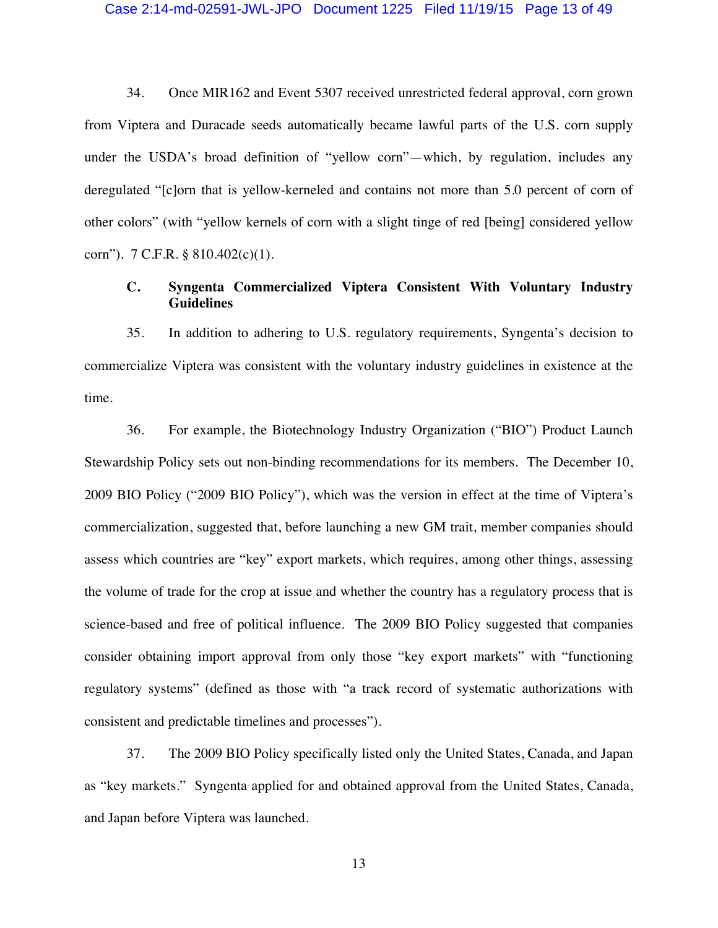#### Case 2:14-md-02591-JWL-JPO Document 1225 Filed 11/19/15 Page 13 of 49

34. Once MIR162 and Event 5307 received unrestricted federal approval, corn grown from Viptera and Duracade seeds automatically became lawful parts of the U.S. corn supply under the USDA's broad definition of "yellow corn"—which, by regulation, includes any deregulated "[c]orn that is yellow-kerneled and contains not more than 5.0 percent of corn of other colors" (with "yellow kernels of corn with a slight tinge of red [being] considered yellow corn"). 7 C.F.R. § 810.402(c)(1).

## **C. Syngenta Commercialized Viptera Consistent With Voluntary Industry Guidelines**

35. In addition to adhering to U.S. regulatory requirements, Syngenta's decision to commercialize Viptera was consistent with the voluntary industry guidelines in existence at the time.

36. For example, the Biotechnology Industry Organization ("BIO") Product Launch Stewardship Policy sets out non-binding recommendations for its members. The December 10, 2009 BIO Policy ("2009 BIO Policy"), which was the version in effect at the time of Viptera's commercialization, suggested that, before launching a new GM trait, member companies should assess which countries are "key" export markets, which requires, among other things, assessing the volume of trade for the crop at issue and whether the country has a regulatory process that is science-based and free of political influence. The 2009 BIO Policy suggested that companies consider obtaining import approval from only those "key export markets" with "functioning regulatory systems" (defined as those with "a track record of systematic authorizations with consistent and predictable timelines and processes").

37. The 2009 BIO Policy specifically listed only the United States, Canada, and Japan as "key markets." Syngenta applied for and obtained approval from the United States, Canada, and Japan before Viptera was launched.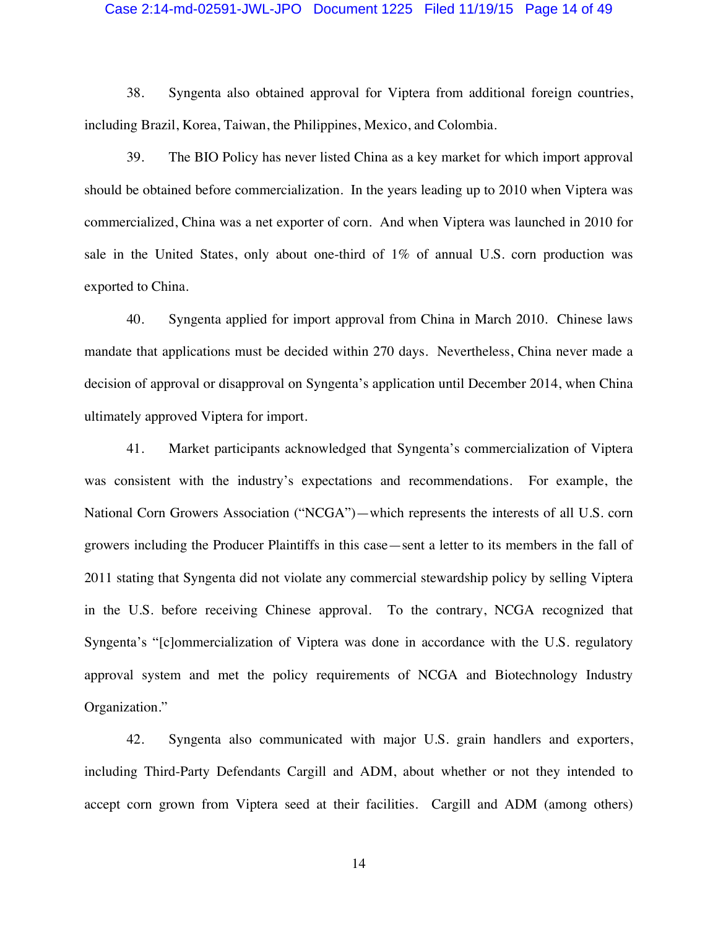#### Case 2:14-md-02591-JWL-JPO Document 1225 Filed 11/19/15 Page 14 of 49

38. Syngenta also obtained approval for Viptera from additional foreign countries, including Brazil, Korea, Taiwan, the Philippines, Mexico, and Colombia.

39. The BIO Policy has never listed China as a key market for which import approval should be obtained before commercialization. In the years leading up to 2010 when Viptera was commercialized, China was a net exporter of corn. And when Viptera was launched in 2010 for sale in the United States, only about one-third of 1% of annual U.S. corn production was exported to China.

40. Syngenta applied for import approval from China in March 2010. Chinese laws mandate that applications must be decided within 270 days. Nevertheless, China never made a decision of approval or disapproval on Syngenta's application until December 2014, when China ultimately approved Viptera for import.

41. Market participants acknowledged that Syngenta's commercialization of Viptera was consistent with the industry's expectations and recommendations. For example, the National Corn Growers Association ("NCGA")—which represents the interests of all U.S. corn growers including the Producer Plaintiffs in this case—sent a letter to its members in the fall of 2011 stating that Syngenta did not violate any commercial stewardship policy by selling Viptera in the U.S. before receiving Chinese approval. To the contrary, NCGA recognized that Syngenta's "[c]ommercialization of Viptera was done in accordance with the U.S. regulatory approval system and met the policy requirements of NCGA and Biotechnology Industry Organization."

42. Syngenta also communicated with major U.S. grain handlers and exporters, including Third-Party Defendants Cargill and ADM, about whether or not they intended to accept corn grown from Viptera seed at their facilities. Cargill and ADM (among others)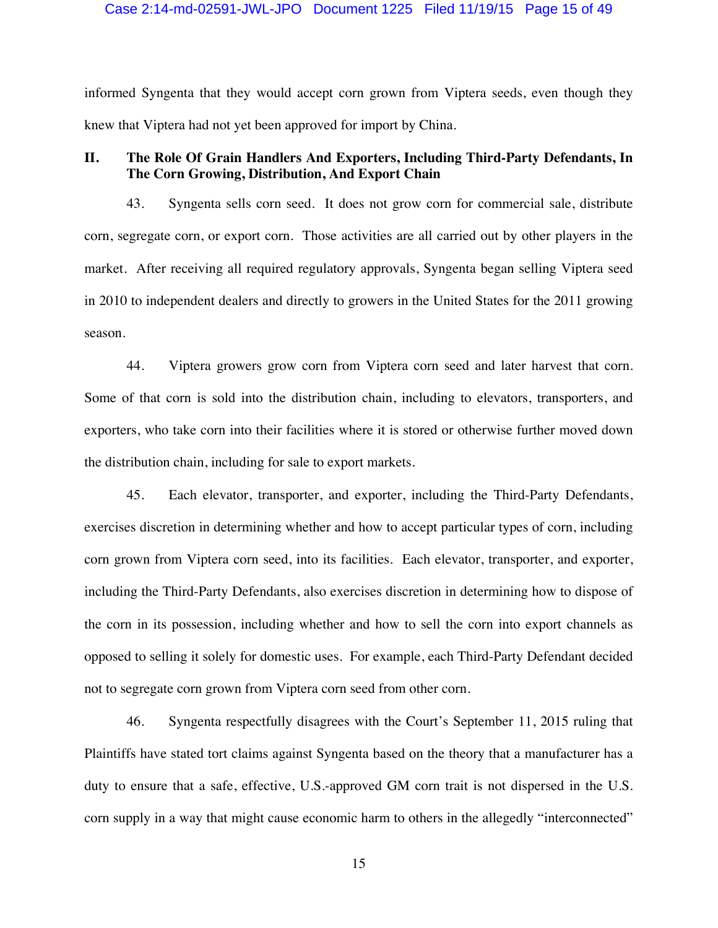### Case 2:14-md-02591-JWL-JPO Document 1225 Filed 11/19/15 Page 15 of 49

informed Syngenta that they would accept corn grown from Viptera seeds, even though they knew that Viptera had not yet been approved for import by China.

## **II. The Role Of Grain Handlers And Exporters, Including Third-Party Defendants, In The Corn Growing, Distribution, And Export Chain**

43. Syngenta sells corn seed. It does not grow corn for commercial sale, distribute corn, segregate corn, or export corn. Those activities are all carried out by other players in the market. After receiving all required regulatory approvals, Syngenta began selling Viptera seed in 2010 to independent dealers and directly to growers in the United States for the 2011 growing season.

44. Viptera growers grow corn from Viptera corn seed and later harvest that corn. Some of that corn is sold into the distribution chain, including to elevators, transporters, and exporters, who take corn into their facilities where it is stored or otherwise further moved down the distribution chain, including for sale to export markets.

45. Each elevator, transporter, and exporter, including the Third-Party Defendants, exercises discretion in determining whether and how to accept particular types of corn, including corn grown from Viptera corn seed, into its facilities. Each elevator, transporter, and exporter, including the Third-Party Defendants, also exercises discretion in determining how to dispose of the corn in its possession, including whether and how to sell the corn into export channels as opposed to selling it solely for domestic uses. For example, each Third-Party Defendant decided not to segregate corn grown from Viptera corn seed from other corn.

46. Syngenta respectfully disagrees with the Court's September 11, 2015 ruling that Plaintiffs have stated tort claims against Syngenta based on the theory that a manufacturer has a duty to ensure that a safe, effective, U.S.-approved GM corn trait is not dispersed in the U.S. corn supply in a way that might cause economic harm to others in the allegedly "interconnected"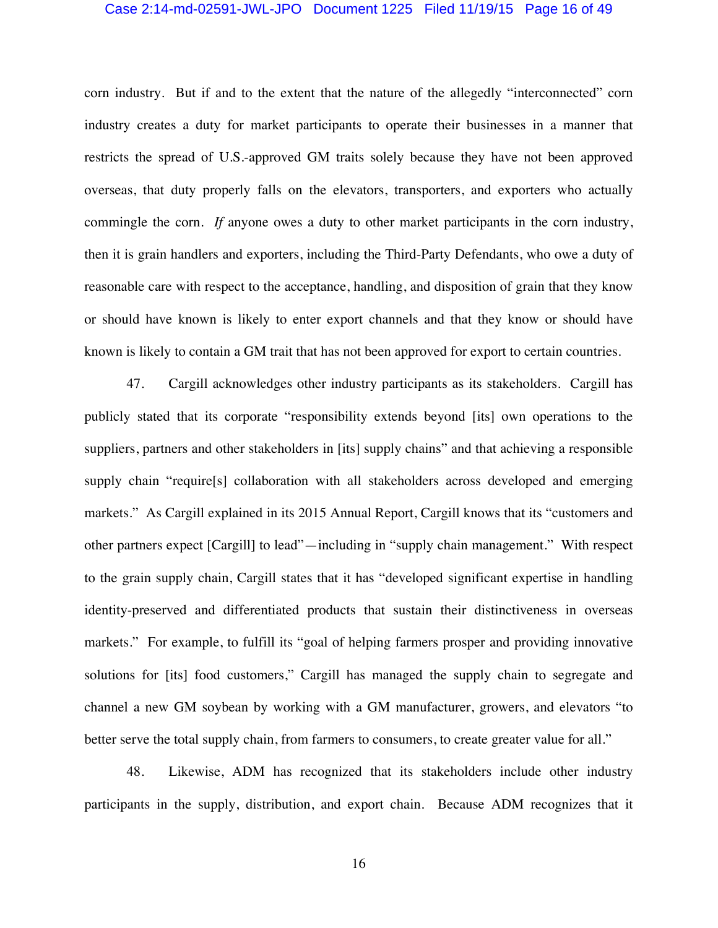#### Case 2:14-md-02591-JWL-JPO Document 1225 Filed 11/19/15 Page 16 of 49

corn industry. But if and to the extent that the nature of the allegedly "interconnected" corn industry creates a duty for market participants to operate their businesses in a manner that restricts the spread of U.S.-approved GM traits solely because they have not been approved overseas, that duty properly falls on the elevators, transporters, and exporters who actually commingle the corn. *If* anyone owes a duty to other market participants in the corn industry, then it is grain handlers and exporters, including the Third-Party Defendants, who owe a duty of reasonable care with respect to the acceptance, handling, and disposition of grain that they know or should have known is likely to enter export channels and that they know or should have known is likely to contain a GM trait that has not been approved for export to certain countries.

47. Cargill acknowledges other industry participants as its stakeholders. Cargill has publicly stated that its corporate "responsibility extends beyond [its] own operations to the suppliers, partners and other stakeholders in [its] supply chains" and that achieving a responsible supply chain "require[s] collaboration with all stakeholders across developed and emerging markets." As Cargill explained in its 2015 Annual Report, Cargill knows that its "customers and other partners expect [Cargill] to lead"—including in "supply chain management." With respect to the grain supply chain, Cargill states that it has "developed significant expertise in handling identity-preserved and differentiated products that sustain their distinctiveness in overseas markets." For example, to fulfill its "goal of helping farmers prosper and providing innovative solutions for [its] food customers," Cargill has managed the supply chain to segregate and channel a new GM soybean by working with a GM manufacturer, growers, and elevators "to better serve the total supply chain, from farmers to consumers, to create greater value for all."

48. Likewise, ADM has recognized that its stakeholders include other industry participants in the supply, distribution, and export chain. Because ADM recognizes that it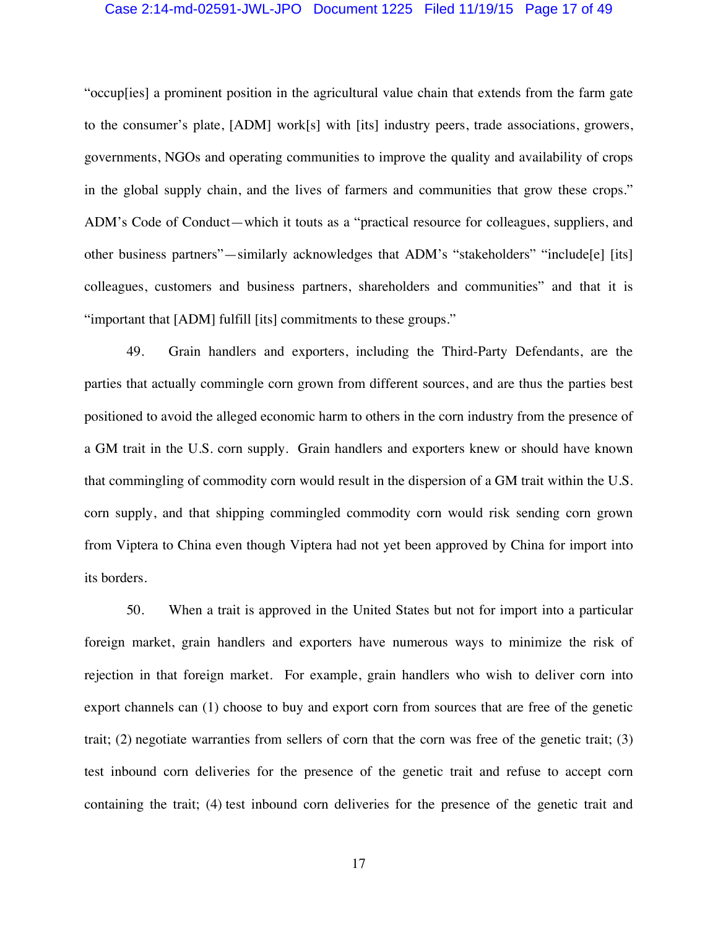### Case 2:14-md-02591-JWL-JPO Document 1225 Filed 11/19/15 Page 17 of 49

"occup[ies] a prominent position in the agricultural value chain that extends from the farm gate to the consumer's plate, [ADM] work[s] with [its] industry peers, trade associations, growers, governments, NGOs and operating communities to improve the quality and availability of crops in the global supply chain, and the lives of farmers and communities that grow these crops." ADM's Code of Conduct—which it touts as a "practical resource for colleagues, suppliers, and other business partners"—similarly acknowledges that ADM's "stakeholders" "include[e] [its] colleagues, customers and business partners, shareholders and communities" and that it is "important that [ADM] fulfill [its] commitments to these groups."

49. Grain handlers and exporters, including the Third-Party Defendants, are the parties that actually commingle corn grown from different sources, and are thus the parties best positioned to avoid the alleged economic harm to others in the corn industry from the presence of a GM trait in the U.S. corn supply. Grain handlers and exporters knew or should have known that commingling of commodity corn would result in the dispersion of a GM trait within the U.S. corn supply, and that shipping commingled commodity corn would risk sending corn grown from Viptera to China even though Viptera had not yet been approved by China for import into its borders.

50. When a trait is approved in the United States but not for import into a particular foreign market, grain handlers and exporters have numerous ways to minimize the risk of rejection in that foreign market. For example, grain handlers who wish to deliver corn into export channels can (1) choose to buy and export corn from sources that are free of the genetic trait; (2) negotiate warranties from sellers of corn that the corn was free of the genetic trait; (3) test inbound corn deliveries for the presence of the genetic trait and refuse to accept corn containing the trait; (4) test inbound corn deliveries for the presence of the genetic trait and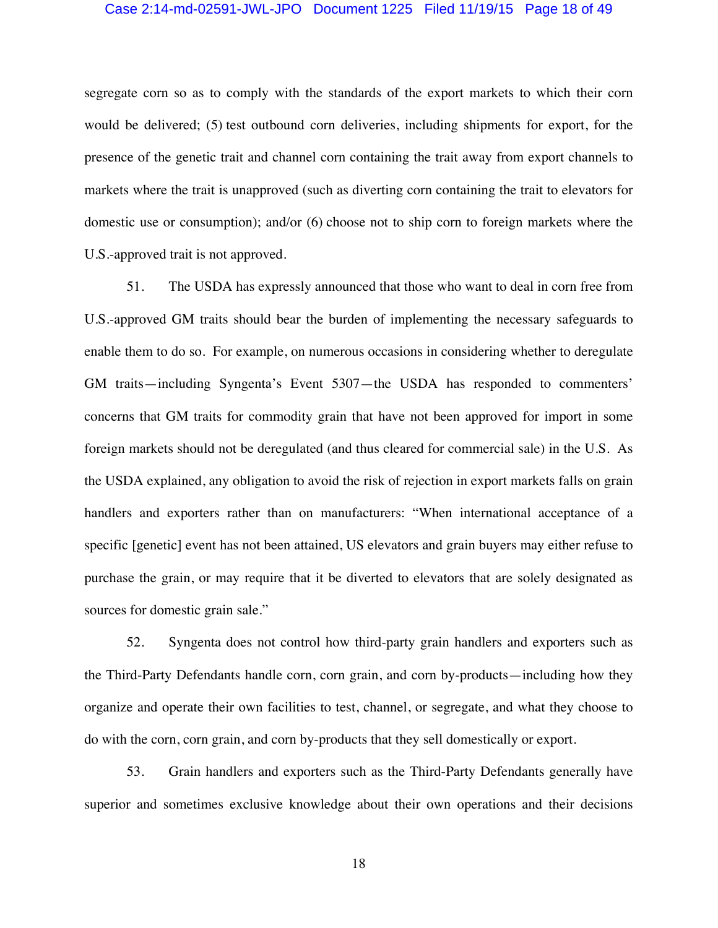### Case 2:14-md-02591-JWL-JPO Document 1225 Filed 11/19/15 Page 18 of 49

segregate corn so as to comply with the standards of the export markets to which their corn would be delivered; (5) test outbound corn deliveries, including shipments for export, for the presence of the genetic trait and channel corn containing the trait away from export channels to markets where the trait is unapproved (such as diverting corn containing the trait to elevators for domestic use or consumption); and/or (6) choose not to ship corn to foreign markets where the U.S.-approved trait is not approved.

51. The USDA has expressly announced that those who want to deal in corn free from U.S.-approved GM traits should bear the burden of implementing the necessary safeguards to enable them to do so. For example, on numerous occasions in considering whether to deregulate GM traits—including Syngenta's Event 5307—the USDA has responded to commenters' concerns that GM traits for commodity grain that have not been approved for import in some foreign markets should not be deregulated (and thus cleared for commercial sale) in the U.S. As the USDA explained, any obligation to avoid the risk of rejection in export markets falls on grain handlers and exporters rather than on manufacturers: "When international acceptance of a specific [genetic] event has not been attained, US elevators and grain buyers may either refuse to purchase the grain, or may require that it be diverted to elevators that are solely designated as sources for domestic grain sale."

52. Syngenta does not control how third-party grain handlers and exporters such as the Third-Party Defendants handle corn, corn grain, and corn by-products—including how they organize and operate their own facilities to test, channel, or segregate, and what they choose to do with the corn, corn grain, and corn by-products that they sell domestically or export.

53. Grain handlers and exporters such as the Third-Party Defendants generally have superior and sometimes exclusive knowledge about their own operations and their decisions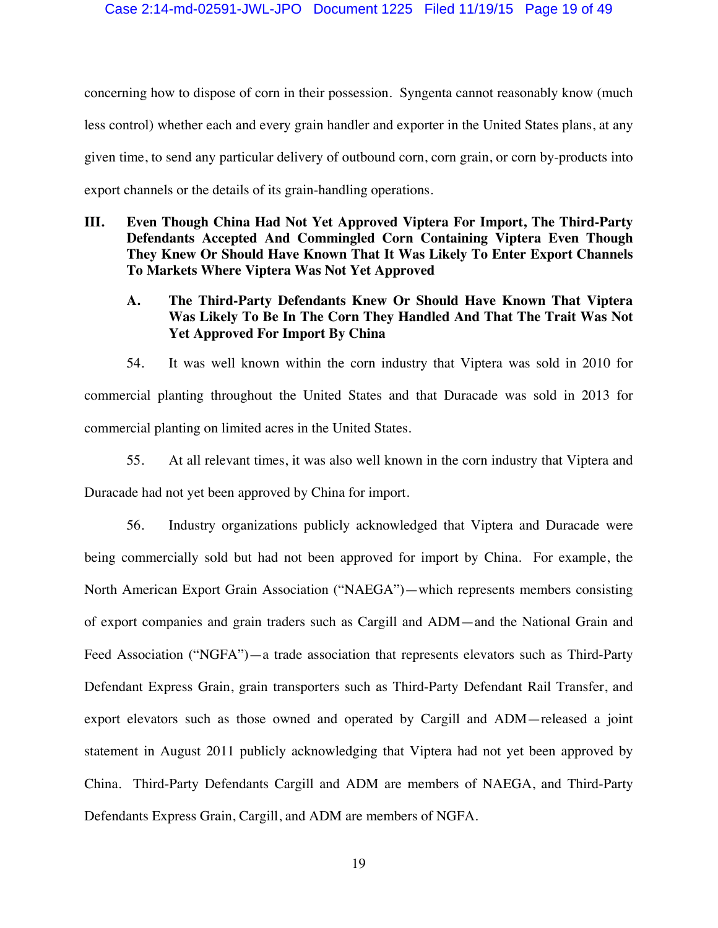concerning how to dispose of corn in their possession. Syngenta cannot reasonably know (much less control) whether each and every grain handler and exporter in the United States plans, at any given time, to send any particular delivery of outbound corn, corn grain, or corn by-products into export channels or the details of its grain-handling operations.

**III. Even Though China Had Not Yet Approved Viptera For Import, The Third-Party Defendants Accepted And Commingled Corn Containing Viptera Even Though They Knew Or Should Have Known That It Was Likely To Enter Export Channels To Markets Where Viptera Was Not Yet Approved** 

## **A. The Third-Party Defendants Knew Or Should Have Known That Viptera Was Likely To Be In The Corn They Handled And That The Trait Was Not Yet Approved For Import By China**

54. It was well known within the corn industry that Viptera was sold in 2010 for commercial planting throughout the United States and that Duracade was sold in 2013 for commercial planting on limited acres in the United States.

55. At all relevant times, it was also well known in the corn industry that Viptera and Duracade had not yet been approved by China for import.

56. Industry organizations publicly acknowledged that Viptera and Duracade were being commercially sold but had not been approved for import by China. For example, the North American Export Grain Association ("NAEGA")—which represents members consisting of export companies and grain traders such as Cargill and ADM—and the National Grain and Feed Association ("NGFA")—a trade association that represents elevators such as Third-Party Defendant Express Grain, grain transporters such as Third-Party Defendant Rail Transfer, and export elevators such as those owned and operated by Cargill and ADM—released a joint statement in August 2011 publicly acknowledging that Viptera had not yet been approved by China. Third-Party Defendants Cargill and ADM are members of NAEGA, and Third-Party Defendants Express Grain, Cargill, and ADM are members of NGFA.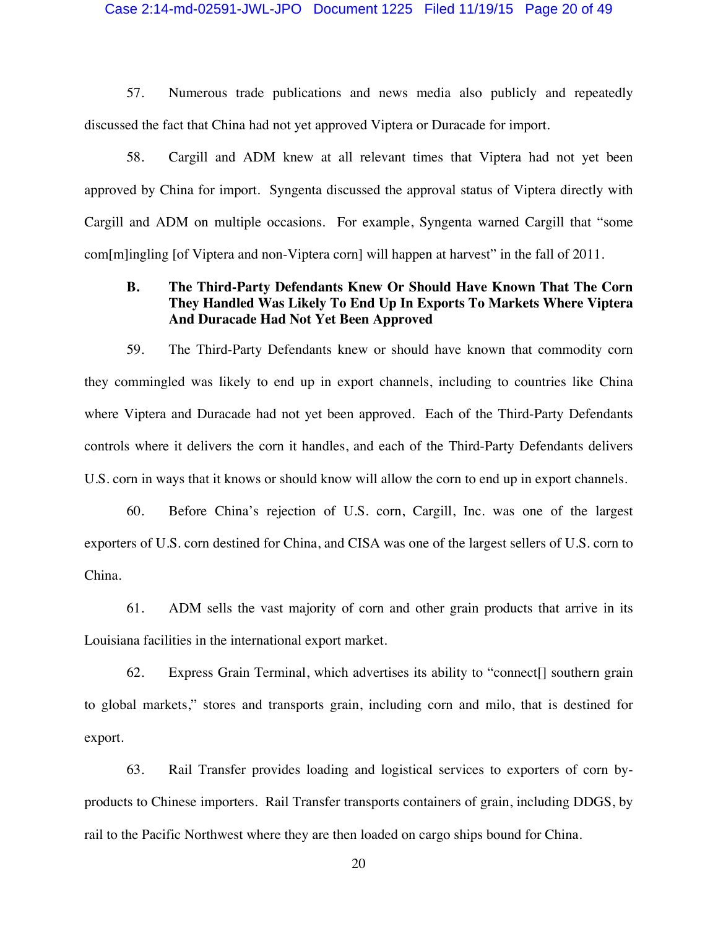#### Case 2:14-md-02591-JWL-JPO Document 1225 Filed 11/19/15 Page 20 of 49

57. Numerous trade publications and news media also publicly and repeatedly discussed the fact that China had not yet approved Viptera or Duracade for import.

58. Cargill and ADM knew at all relevant times that Viptera had not yet been approved by China for import. Syngenta discussed the approval status of Viptera directly with Cargill and ADM on multiple occasions. For example, Syngenta warned Cargill that "some com[m]ingling [of Viptera and non-Viptera corn] will happen at harvest" in the fall of 2011.

### **B. The Third-Party Defendants Knew Or Should Have Known That The Corn They Handled Was Likely To End Up In Exports To Markets Where Viptera And Duracade Had Not Yet Been Approved**

59. The Third-Party Defendants knew or should have known that commodity corn they commingled was likely to end up in export channels, including to countries like China where Viptera and Duracade had not yet been approved. Each of the Third-Party Defendants controls where it delivers the corn it handles, and each of the Third-Party Defendants delivers U.S. corn in ways that it knows or should know will allow the corn to end up in export channels.

60. Before China's rejection of U.S. corn, Cargill, Inc. was one of the largest exporters of U.S. corn destined for China, and CISA was one of the largest sellers of U.S. corn to China.

61. ADM sells the vast majority of corn and other grain products that arrive in its Louisiana facilities in the international export market.

62. Express Grain Terminal, which advertises its ability to "connect[] southern grain to global markets," stores and transports grain, including corn and milo, that is destined for export.

63. Rail Transfer provides loading and logistical services to exporters of corn byproducts to Chinese importers. Rail Transfer transports containers of grain, including DDGS, by rail to the Pacific Northwest where they are then loaded on cargo ships bound for China.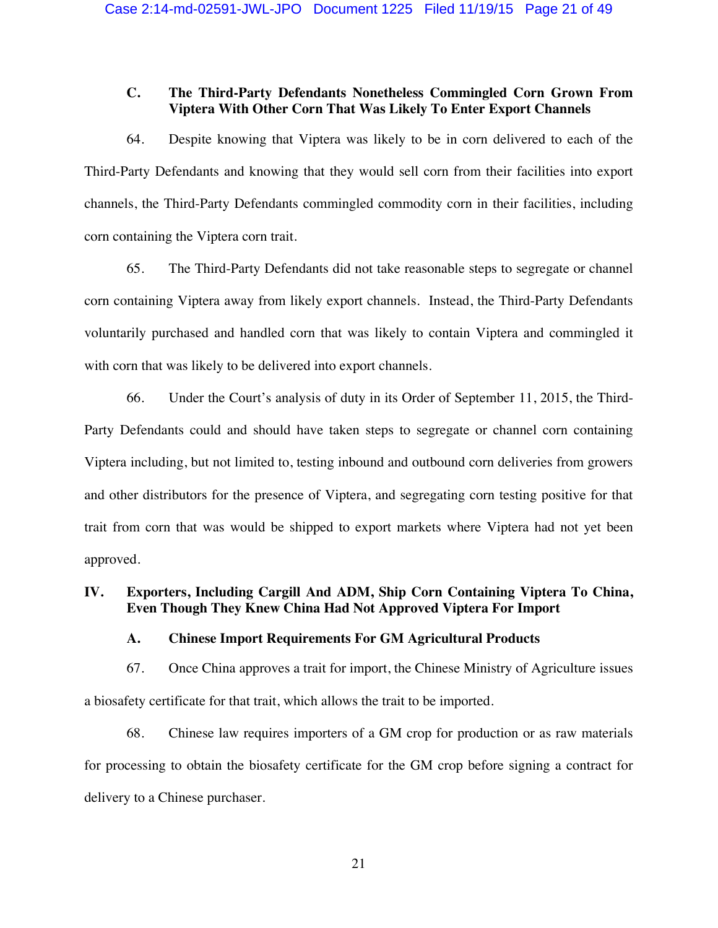## **C. The Third-Party Defendants Nonetheless Commingled Corn Grown From Viptera With Other Corn That Was Likely To Enter Export Channels**

64. Despite knowing that Viptera was likely to be in corn delivered to each of the Third-Party Defendants and knowing that they would sell corn from their facilities into export channels, the Third-Party Defendants commingled commodity corn in their facilities, including corn containing the Viptera corn trait.

65. The Third-Party Defendants did not take reasonable steps to segregate or channel corn containing Viptera away from likely export channels. Instead, the Third-Party Defendants voluntarily purchased and handled corn that was likely to contain Viptera and commingled it with corn that was likely to be delivered into export channels.

66. Under the Court's analysis of duty in its Order of September 11, 2015, the Third-Party Defendants could and should have taken steps to segregate or channel corn containing Viptera including, but not limited to, testing inbound and outbound corn deliveries from growers and other distributors for the presence of Viptera, and segregating corn testing positive for that trait from corn that was would be shipped to export markets where Viptera had not yet been approved.

## **IV. Exporters, Including Cargill And ADM, Ship Corn Containing Viptera To China, Even Though They Knew China Had Not Approved Viptera For Import**

**A. Chinese Import Requirements For GM Agricultural Products** 

67. Once China approves a trait for import, the Chinese Ministry of Agriculture issues a biosafety certificate for that trait, which allows the trait to be imported.

68. Chinese law requires importers of a GM crop for production or as raw materials for processing to obtain the biosafety certificate for the GM crop before signing a contract for delivery to a Chinese purchaser.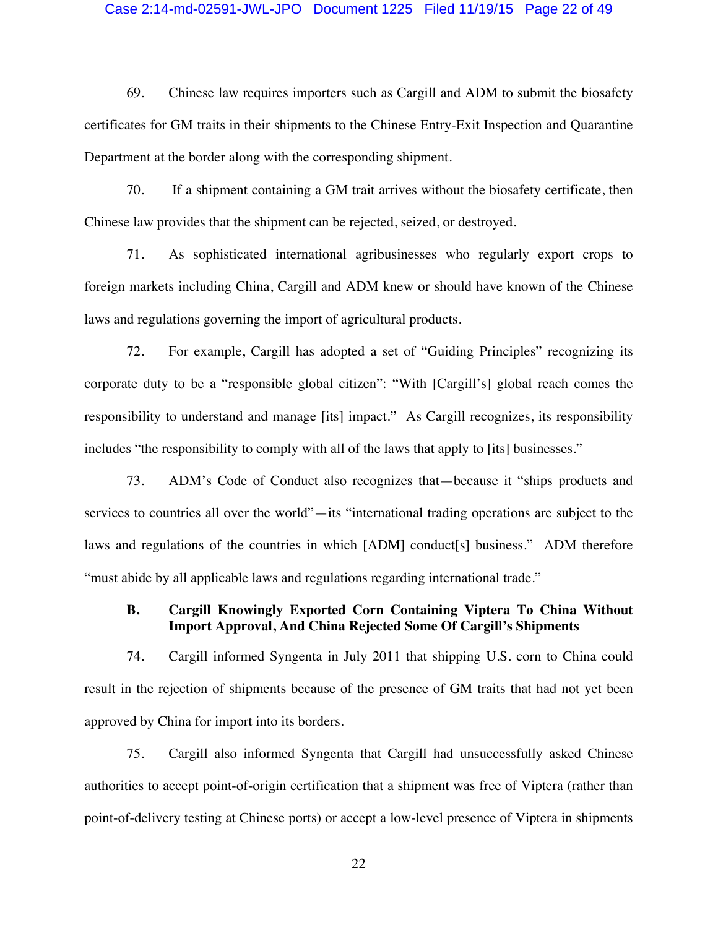#### Case 2:14-md-02591-JWL-JPO Document 1225 Filed 11/19/15 Page 22 of 49

69. Chinese law requires importers such as Cargill and ADM to submit the biosafety certificates for GM traits in their shipments to the Chinese Entry-Exit Inspection and Quarantine Department at the border along with the corresponding shipment.

70. If a shipment containing a GM trait arrives without the biosafety certificate, then Chinese law provides that the shipment can be rejected, seized, or destroyed.

71. As sophisticated international agribusinesses who regularly export crops to foreign markets including China, Cargill and ADM knew or should have known of the Chinese laws and regulations governing the import of agricultural products.

72. For example, Cargill has adopted a set of "Guiding Principles" recognizing its corporate duty to be a "responsible global citizen": "With [Cargill's] global reach comes the responsibility to understand and manage [its] impact." As Cargill recognizes, its responsibility includes "the responsibility to comply with all of the laws that apply to [its] businesses."

73. ADM's Code of Conduct also recognizes that—because it "ships products and services to countries all over the world"—its "international trading operations are subject to the laws and regulations of the countries in which [ADM] conduct[s] business." ADM therefore "must abide by all applicable laws and regulations regarding international trade."

## **B. Cargill Knowingly Exported Corn Containing Viptera To China Without Import Approval, And China Rejected Some Of Cargill's Shipments**

74. Cargill informed Syngenta in July 2011 that shipping U.S. corn to China could result in the rejection of shipments because of the presence of GM traits that had not yet been approved by China for import into its borders.

75. Cargill also informed Syngenta that Cargill had unsuccessfully asked Chinese authorities to accept point-of-origin certification that a shipment was free of Viptera (rather than point-of-delivery testing at Chinese ports) or accept a low-level presence of Viptera in shipments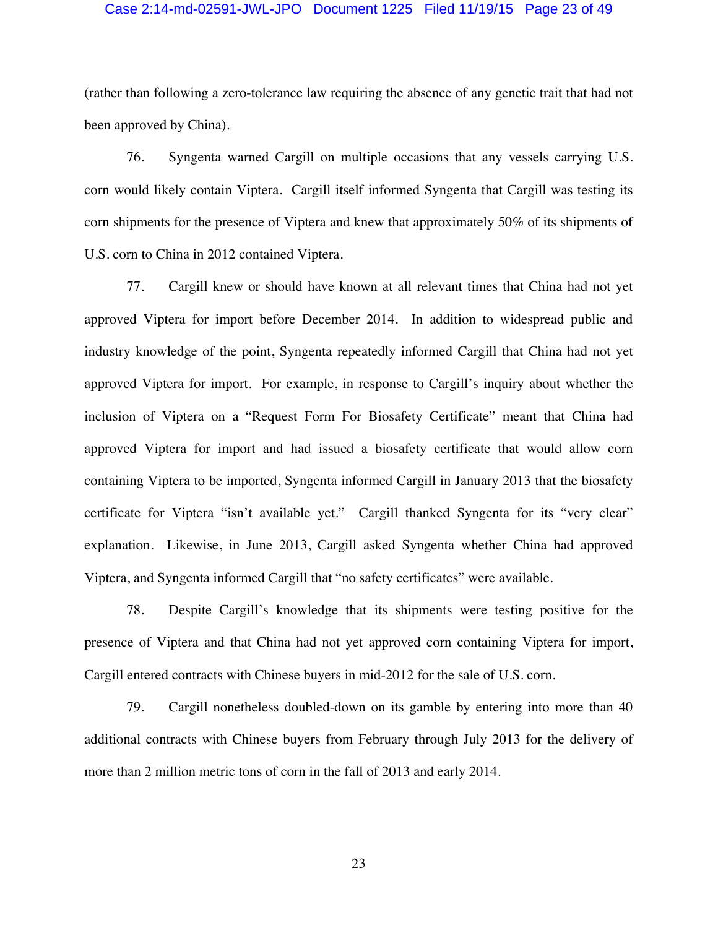### Case 2:14-md-02591-JWL-JPO Document 1225 Filed 11/19/15 Page 23 of 49

(rather than following a zero-tolerance law requiring the absence of any genetic trait that had not been approved by China).

76. Syngenta warned Cargill on multiple occasions that any vessels carrying U.S. corn would likely contain Viptera. Cargill itself informed Syngenta that Cargill was testing its corn shipments for the presence of Viptera and knew that approximately 50% of its shipments of U.S. corn to China in 2012 contained Viptera.

77. Cargill knew or should have known at all relevant times that China had not yet approved Viptera for import before December 2014. In addition to widespread public and industry knowledge of the point, Syngenta repeatedly informed Cargill that China had not yet approved Viptera for import. For example, in response to Cargill's inquiry about whether the inclusion of Viptera on a "Request Form For Biosafety Certificate" meant that China had approved Viptera for import and had issued a biosafety certificate that would allow corn containing Viptera to be imported, Syngenta informed Cargill in January 2013 that the biosafety certificate for Viptera "isn't available yet." Cargill thanked Syngenta for its "very clear" explanation. Likewise, in June 2013, Cargill asked Syngenta whether China had approved Viptera, and Syngenta informed Cargill that "no safety certificates" were available.

78. Despite Cargill's knowledge that its shipments were testing positive for the presence of Viptera and that China had not yet approved corn containing Viptera for import, Cargill entered contracts with Chinese buyers in mid-2012 for the sale of U.S. corn.

79. Cargill nonetheless doubled-down on its gamble by entering into more than 40 additional contracts with Chinese buyers from February through July 2013 for the delivery of more than 2 million metric tons of corn in the fall of 2013 and early 2014.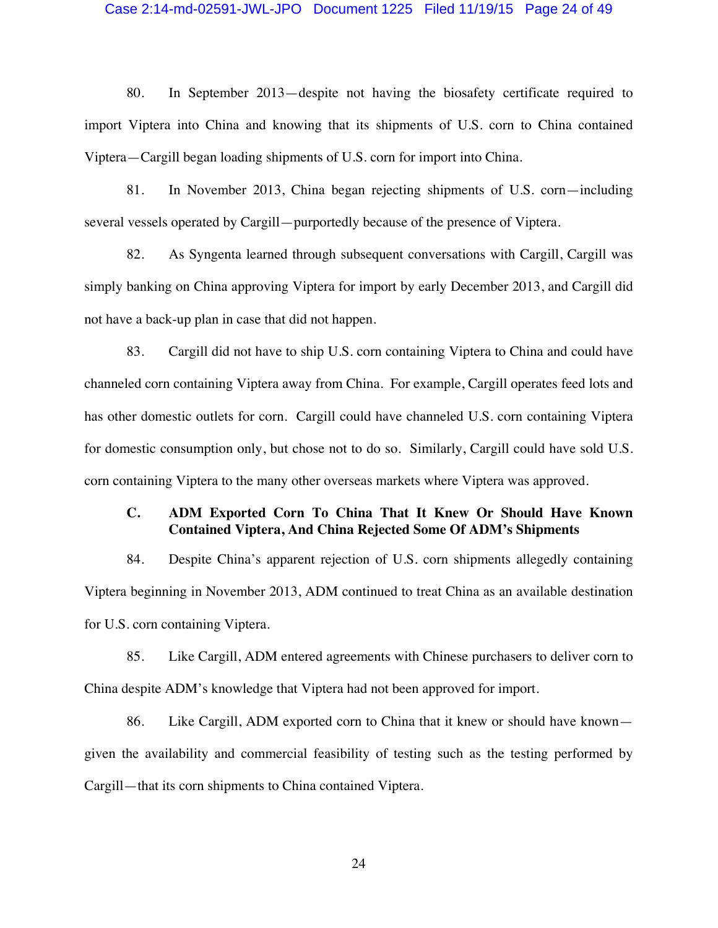#### Case 2:14-md-02591-JWL-JPO Document 1225 Filed 11/19/15 Page 24 of 49

80. In September 2013—despite not having the biosafety certificate required to import Viptera into China and knowing that its shipments of U.S. corn to China contained Viptera—Cargill began loading shipments of U.S. corn for import into China.

81. In November 2013, China began rejecting shipments of U.S. corn—including several vessels operated by Cargill—purportedly because of the presence of Viptera.

82. As Syngenta learned through subsequent conversations with Cargill, Cargill was simply banking on China approving Viptera for import by early December 2013, and Cargill did not have a back-up plan in case that did not happen.

83. Cargill did not have to ship U.S. corn containing Viptera to China and could have channeled corn containing Viptera away from China. For example, Cargill operates feed lots and has other domestic outlets for corn. Cargill could have channeled U.S. corn containing Viptera for domestic consumption only, but chose not to do so. Similarly, Cargill could have sold U.S. corn containing Viptera to the many other overseas markets where Viptera was approved.

## **C. ADM Exported Corn To China That It Knew Or Should Have Known Contained Viptera, And China Rejected Some Of ADM's Shipments**

84. Despite China's apparent rejection of U.S. corn shipments allegedly containing Viptera beginning in November 2013, ADM continued to treat China as an available destination for U.S. corn containing Viptera.

85. Like Cargill, ADM entered agreements with Chinese purchasers to deliver corn to China despite ADM's knowledge that Viptera had not been approved for import.

86. Like Cargill, ADM exported corn to China that it knew or should have known given the availability and commercial feasibility of testing such as the testing performed by Cargill—that its corn shipments to China contained Viptera.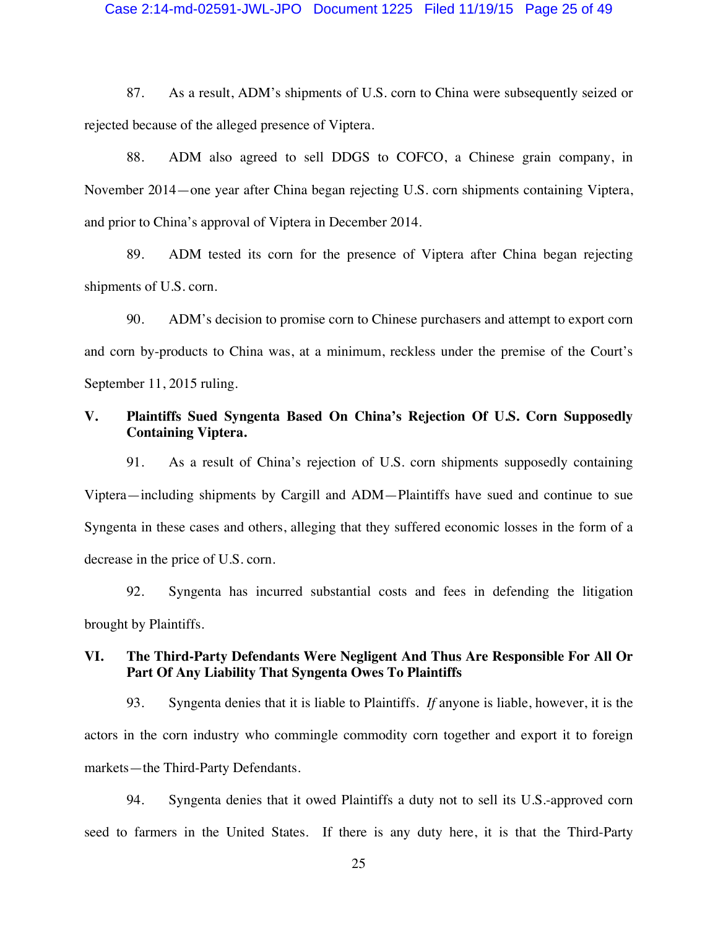#### Case 2:14-md-02591-JWL-JPO Document 1225 Filed 11/19/15 Page 25 of 49

87. As a result, ADM's shipments of U.S. corn to China were subsequently seized or rejected because of the alleged presence of Viptera.

88. ADM also agreed to sell DDGS to COFCO, a Chinese grain company, in November 2014—one year after China began rejecting U.S. corn shipments containing Viptera, and prior to China's approval of Viptera in December 2014.

89. ADM tested its corn for the presence of Viptera after China began rejecting shipments of U.S. corn.

90. ADM's decision to promise corn to Chinese purchasers and attempt to export corn and corn by-products to China was, at a minimum, reckless under the premise of the Court's September 11, 2015 ruling.

### **V. Plaintiffs Sued Syngenta Based On China's Rejection Of U.S. Corn Supposedly Containing Viptera.**

91. As a result of China's rejection of U.S. corn shipments supposedly containing Viptera—including shipments by Cargill and ADM—Plaintiffs have sued and continue to sue Syngenta in these cases and others, alleging that they suffered economic losses in the form of a decrease in the price of U.S. corn.

92. Syngenta has incurred substantial costs and fees in defending the litigation brought by Plaintiffs.

## **VI. The Third-Party Defendants Were Negligent And Thus Are Responsible For All Or Part Of Any Liability That Syngenta Owes To Plaintiffs**

93. Syngenta denies that it is liable to Plaintiffs. *If* anyone is liable, however, it is the actors in the corn industry who commingle commodity corn together and export it to foreign markets—the Third-Party Defendants.

94. Syngenta denies that it owed Plaintiffs a duty not to sell its U.S.-approved corn seed to farmers in the United States. If there is any duty here, it is that the Third-Party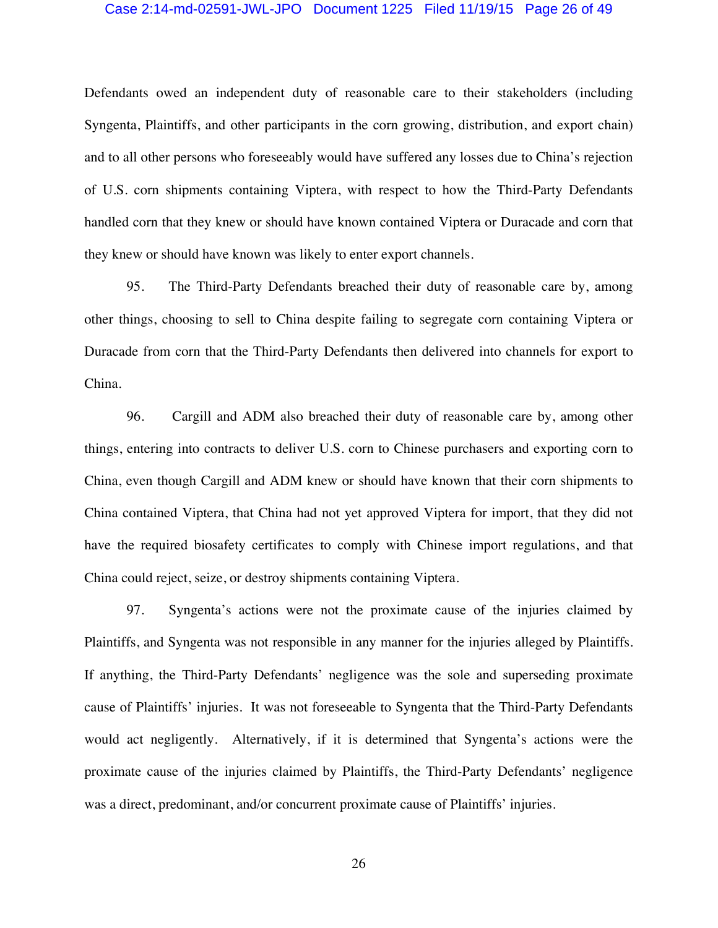### Case 2:14-md-02591-JWL-JPO Document 1225 Filed 11/19/15 Page 26 of 49

Defendants owed an independent duty of reasonable care to their stakeholders (including Syngenta, Plaintiffs, and other participants in the corn growing, distribution, and export chain) and to all other persons who foreseeably would have suffered any losses due to China's rejection of U.S. corn shipments containing Viptera, with respect to how the Third-Party Defendants handled corn that they knew or should have known contained Viptera or Duracade and corn that they knew or should have known was likely to enter export channels.

95. The Third-Party Defendants breached their duty of reasonable care by, among other things, choosing to sell to China despite failing to segregate corn containing Viptera or Duracade from corn that the Third-Party Defendants then delivered into channels for export to China.

96. Cargill and ADM also breached their duty of reasonable care by, among other things, entering into contracts to deliver U.S. corn to Chinese purchasers and exporting corn to China, even though Cargill and ADM knew or should have known that their corn shipments to China contained Viptera, that China had not yet approved Viptera for import, that they did not have the required biosafety certificates to comply with Chinese import regulations, and that China could reject, seize, or destroy shipments containing Viptera.

97. Syngenta's actions were not the proximate cause of the injuries claimed by Plaintiffs, and Syngenta was not responsible in any manner for the injuries alleged by Plaintiffs. If anything, the Third-Party Defendants' negligence was the sole and superseding proximate cause of Plaintiffs' injuries. It was not foreseeable to Syngenta that the Third-Party Defendants would act negligently. Alternatively, if it is determined that Syngenta's actions were the proximate cause of the injuries claimed by Plaintiffs, the Third-Party Defendants' negligence was a direct, predominant, and/or concurrent proximate cause of Plaintiffs' injuries.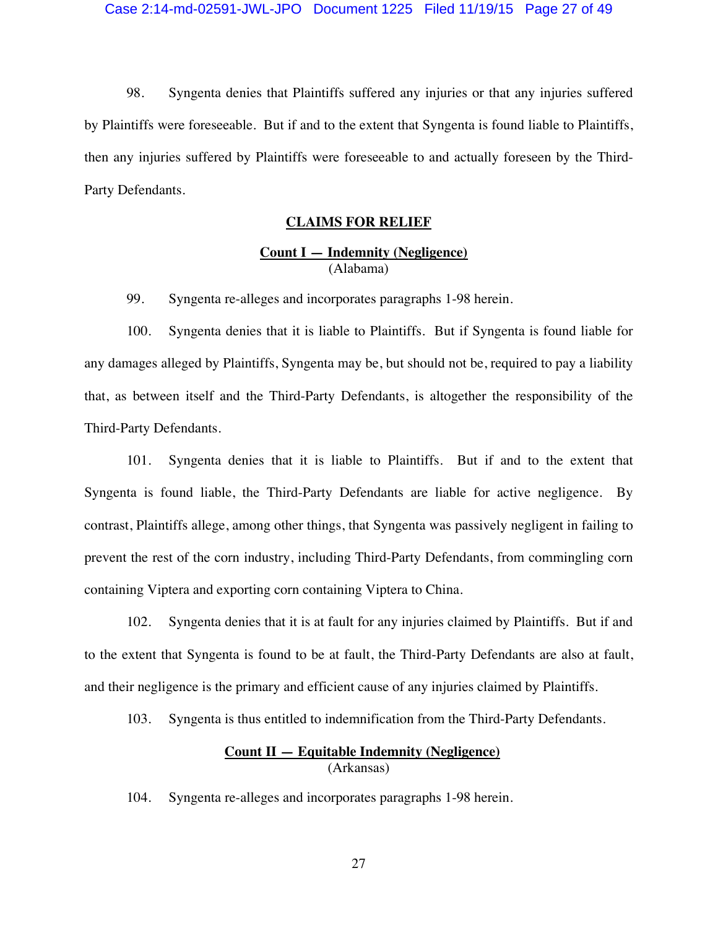98. Syngenta denies that Plaintiffs suffered any injuries or that any injuries suffered by Plaintiffs were foreseeable. But if and to the extent that Syngenta is found liable to Plaintiffs, then any injuries suffered by Plaintiffs were foreseeable to and actually foreseen by the Third-Party Defendants.

### **CLAIMS FOR RELIEF**

## **Count I — Indemnity (Negligence)**  (Alabama)

99. Syngenta re-alleges and incorporates paragraphs 1-98 herein.

100. Syngenta denies that it is liable to Plaintiffs. But if Syngenta is found liable for any damages alleged by Plaintiffs, Syngenta may be, but should not be, required to pay a liability that, as between itself and the Third-Party Defendants, is altogether the responsibility of the Third-Party Defendants.

101. Syngenta denies that it is liable to Plaintiffs. But if and to the extent that Syngenta is found liable, the Third-Party Defendants are liable for active negligence. By contrast, Plaintiffs allege, among other things, that Syngenta was passively negligent in failing to prevent the rest of the corn industry, including Third-Party Defendants, from commingling corn containing Viptera and exporting corn containing Viptera to China.

102. Syngenta denies that it is at fault for any injuries claimed by Plaintiffs. But if and to the extent that Syngenta is found to be at fault, the Third-Party Defendants are also at fault, and their negligence is the primary and efficient cause of any injuries claimed by Plaintiffs.

103. Syngenta is thus entitled to indemnification from the Third-Party Defendants.

## **Count II — Equitable Indemnity (Negligence)**  (Arkansas)

104. Syngenta re-alleges and incorporates paragraphs 1-98 herein.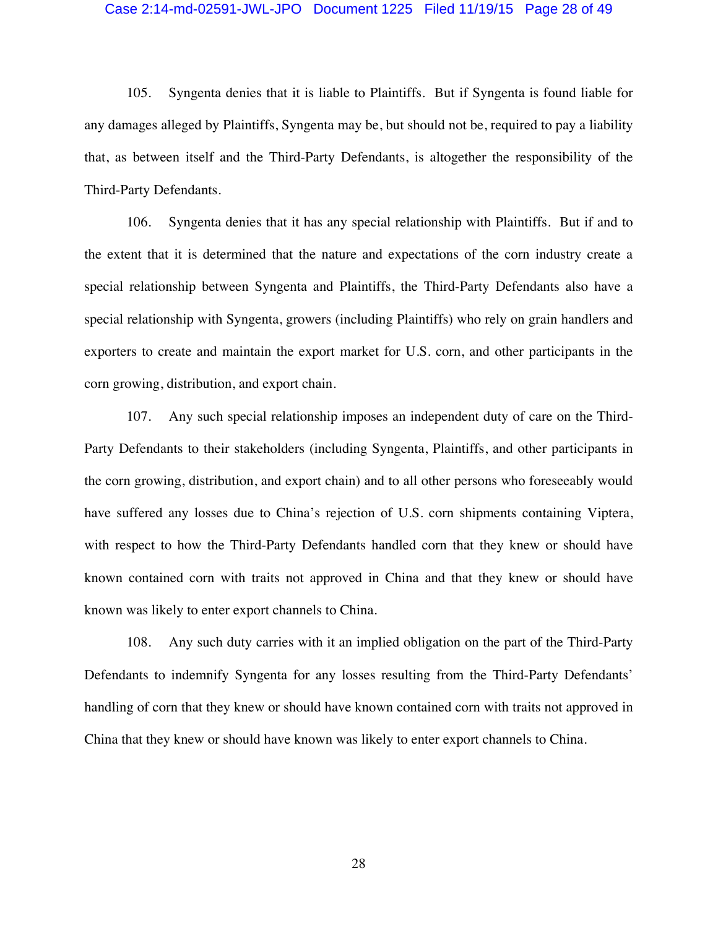#### Case 2:14-md-02591-JWL-JPO Document 1225 Filed 11/19/15 Page 28 of 49

105. Syngenta denies that it is liable to Plaintiffs. But if Syngenta is found liable for any damages alleged by Plaintiffs, Syngenta may be, but should not be, required to pay a liability that, as between itself and the Third-Party Defendants, is altogether the responsibility of the Third-Party Defendants.

106. Syngenta denies that it has any special relationship with Plaintiffs. But if and to the extent that it is determined that the nature and expectations of the corn industry create a special relationship between Syngenta and Plaintiffs, the Third-Party Defendants also have a special relationship with Syngenta, growers (including Plaintiffs) who rely on grain handlers and exporters to create and maintain the export market for U.S. corn, and other participants in the corn growing, distribution, and export chain.

107. Any such special relationship imposes an independent duty of care on the Third-Party Defendants to their stakeholders (including Syngenta, Plaintiffs, and other participants in the corn growing, distribution, and export chain) and to all other persons who foreseeably would have suffered any losses due to China's rejection of U.S. corn shipments containing Viptera, with respect to how the Third-Party Defendants handled corn that they knew or should have known contained corn with traits not approved in China and that they knew or should have known was likely to enter export channels to China.

108. Any such duty carries with it an implied obligation on the part of the Third-Party Defendants to indemnify Syngenta for any losses resulting from the Third-Party Defendants' handling of corn that they knew or should have known contained corn with traits not approved in China that they knew or should have known was likely to enter export channels to China.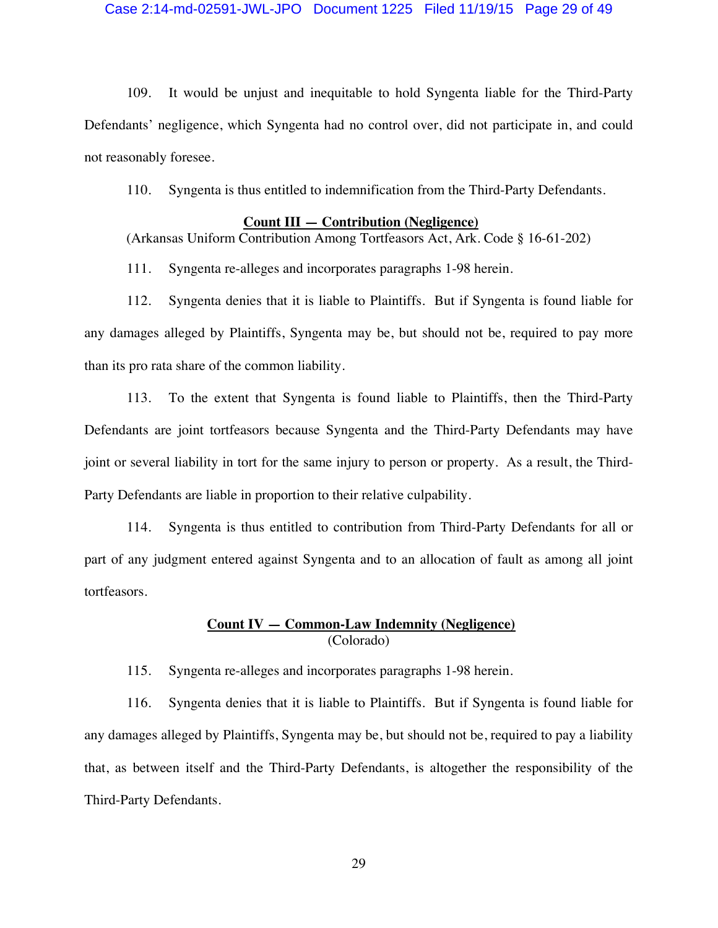### Case 2:14-md-02591-JWL-JPO Document 1225 Filed 11/19/15 Page 29 of 49

109. It would be unjust and inequitable to hold Syngenta liable for the Third-Party Defendants' negligence, which Syngenta had no control over, did not participate in, and could not reasonably foresee.

110. Syngenta is thus entitled to indemnification from the Third-Party Defendants.

### **Count III — Contribution (Negligence)**

(Arkansas Uniform Contribution Among Tortfeasors Act, Ark. Code § 16-61-202)

111. Syngenta re-alleges and incorporates paragraphs 1-98 herein.

112. Syngenta denies that it is liable to Plaintiffs. But if Syngenta is found liable for any damages alleged by Plaintiffs, Syngenta may be, but should not be, required to pay more than its pro rata share of the common liability.

113. To the extent that Syngenta is found liable to Plaintiffs, then the Third-Party Defendants are joint tortfeasors because Syngenta and the Third-Party Defendants may have joint or several liability in tort for the same injury to person or property. As a result, the Third-Party Defendants are liable in proportion to their relative culpability.

114. Syngenta is thus entitled to contribution from Third-Party Defendants for all or part of any judgment entered against Syngenta and to an allocation of fault as among all joint tortfeasors.

### **Count IV — Common-Law Indemnity (Negligence)**  (Colorado)

115. Syngenta re-alleges and incorporates paragraphs 1-98 herein.

116. Syngenta denies that it is liable to Plaintiffs. But if Syngenta is found liable for any damages alleged by Plaintiffs, Syngenta may be, but should not be, required to pay a liability that, as between itself and the Third-Party Defendants, is altogether the responsibility of the Third-Party Defendants.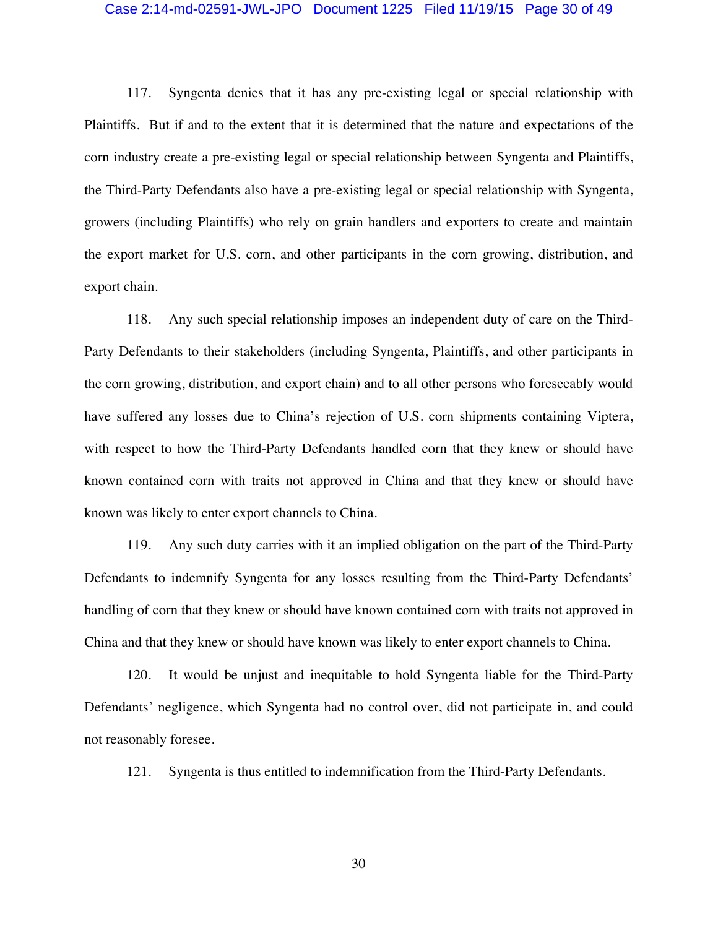#### Case 2:14-md-02591-JWL-JPO Document 1225 Filed 11/19/15 Page 30 of 49

117. Syngenta denies that it has any pre-existing legal or special relationship with Plaintiffs. But if and to the extent that it is determined that the nature and expectations of the corn industry create a pre-existing legal or special relationship between Syngenta and Plaintiffs, the Third-Party Defendants also have a pre-existing legal or special relationship with Syngenta, growers (including Plaintiffs) who rely on grain handlers and exporters to create and maintain the export market for U.S. corn, and other participants in the corn growing, distribution, and export chain.

118. Any such special relationship imposes an independent duty of care on the Third-Party Defendants to their stakeholders (including Syngenta, Plaintiffs, and other participants in the corn growing, distribution, and export chain) and to all other persons who foreseeably would have suffered any losses due to China's rejection of U.S. corn shipments containing Viptera, with respect to how the Third-Party Defendants handled corn that they knew or should have known contained corn with traits not approved in China and that they knew or should have known was likely to enter export channels to China.

119. Any such duty carries with it an implied obligation on the part of the Third-Party Defendants to indemnify Syngenta for any losses resulting from the Third-Party Defendants' handling of corn that they knew or should have known contained corn with traits not approved in China and that they knew or should have known was likely to enter export channels to China.

120. It would be unjust and inequitable to hold Syngenta liable for the Third-Party Defendants' negligence, which Syngenta had no control over, did not participate in, and could not reasonably foresee.

121. Syngenta is thus entitled to indemnification from the Third-Party Defendants.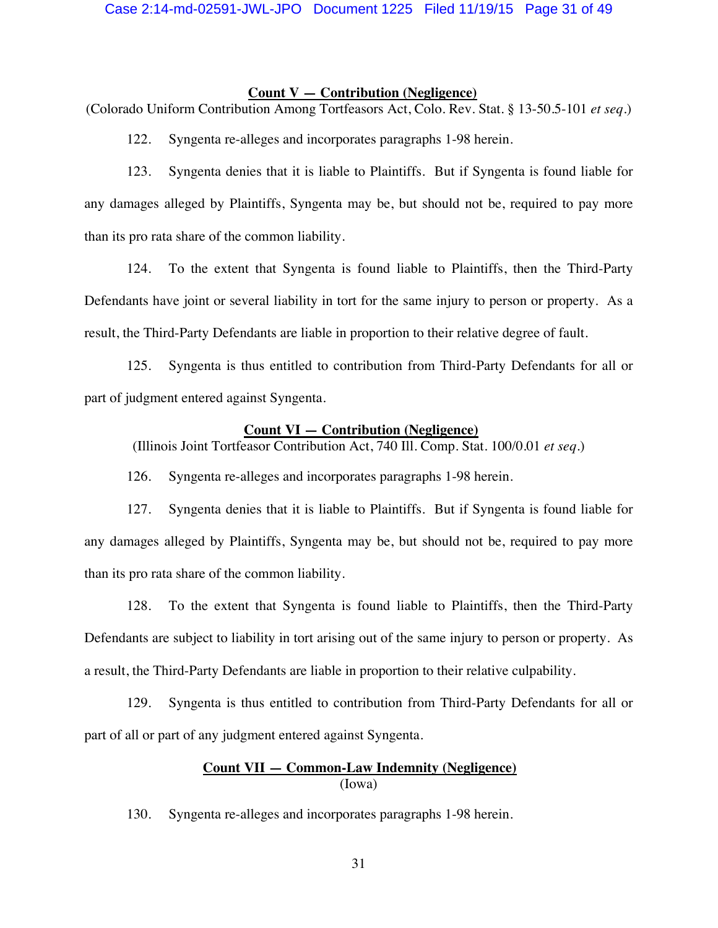### **Count V — Contribution (Negligence)**

(Colorado Uniform Contribution Among Tortfeasors Act, Colo. Rev. Stat. § 13-50.5-101 *et seq.*)

122. Syngenta re-alleges and incorporates paragraphs 1-98 herein.

123. Syngenta denies that it is liable to Plaintiffs. But if Syngenta is found liable for any damages alleged by Plaintiffs, Syngenta may be, but should not be, required to pay more than its pro rata share of the common liability.

124. To the extent that Syngenta is found liable to Plaintiffs, then the Third-Party Defendants have joint or several liability in tort for the same injury to person or property. As a result, the Third-Party Defendants are liable in proportion to their relative degree of fault.

125. Syngenta is thus entitled to contribution from Third-Party Defendants for all or part of judgment entered against Syngenta.

#### **Count VI — Contribution (Negligence)**

(Illinois Joint Tortfeasor Contribution Act, 740 Ill. Comp. Stat. 100/0.01 *et seq.*)

126. Syngenta re-alleges and incorporates paragraphs 1-98 herein.

127. Syngenta denies that it is liable to Plaintiffs. But if Syngenta is found liable for any damages alleged by Plaintiffs, Syngenta may be, but should not be, required to pay more than its pro rata share of the common liability.

128. To the extent that Syngenta is found liable to Plaintiffs, then the Third-Party Defendants are subject to liability in tort arising out of the same injury to person or property. As a result, the Third-Party Defendants are liable in proportion to their relative culpability.

129. Syngenta is thus entitled to contribution from Third-Party Defendants for all or part of all or part of any judgment entered against Syngenta.

## **Count VII — Common-Law Indemnity (Negligence)**  (Iowa)

130. Syngenta re-alleges and incorporates paragraphs 1-98 herein.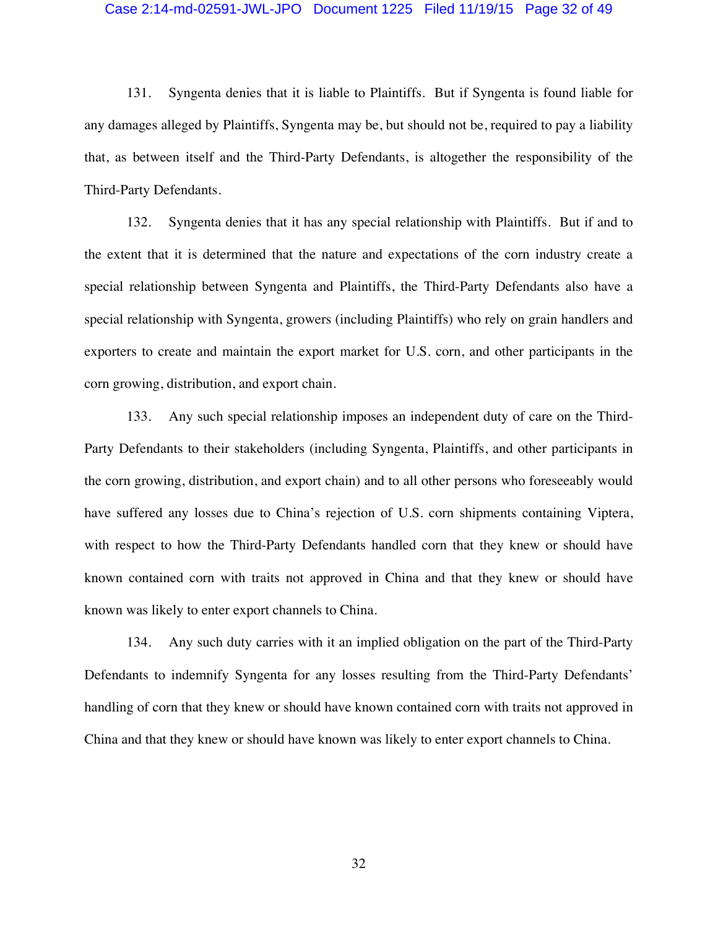### Case 2:14-md-02591-JWL-JPO Document 1225 Filed 11/19/15 Page 32 of 49

131. Syngenta denies that it is liable to Plaintiffs. But if Syngenta is found liable for any damages alleged by Plaintiffs, Syngenta may be, but should not be, required to pay a liability that, as between itself and the Third-Party Defendants, is altogether the responsibility of the Third-Party Defendants.

132. Syngenta denies that it has any special relationship with Plaintiffs. But if and to the extent that it is determined that the nature and expectations of the corn industry create a special relationship between Syngenta and Plaintiffs, the Third-Party Defendants also have a special relationship with Syngenta, growers (including Plaintiffs) who rely on grain handlers and exporters to create and maintain the export market for U.S. corn, and other participants in the corn growing, distribution, and export chain.

133. Any such special relationship imposes an independent duty of care on the Third-Party Defendants to their stakeholders (including Syngenta, Plaintiffs, and other participants in the corn growing, distribution, and export chain) and to all other persons who foreseeably would have suffered any losses due to China's rejection of U.S. corn shipments containing Viptera, with respect to how the Third-Party Defendants handled corn that they knew or should have known contained corn with traits not approved in China and that they knew or should have known was likely to enter export channels to China.

134. Any such duty carries with it an implied obligation on the part of the Third-Party Defendants to indemnify Syngenta for any losses resulting from the Third-Party Defendants' handling of corn that they knew or should have known contained corn with traits not approved in China and that they knew or should have known was likely to enter export channels to China.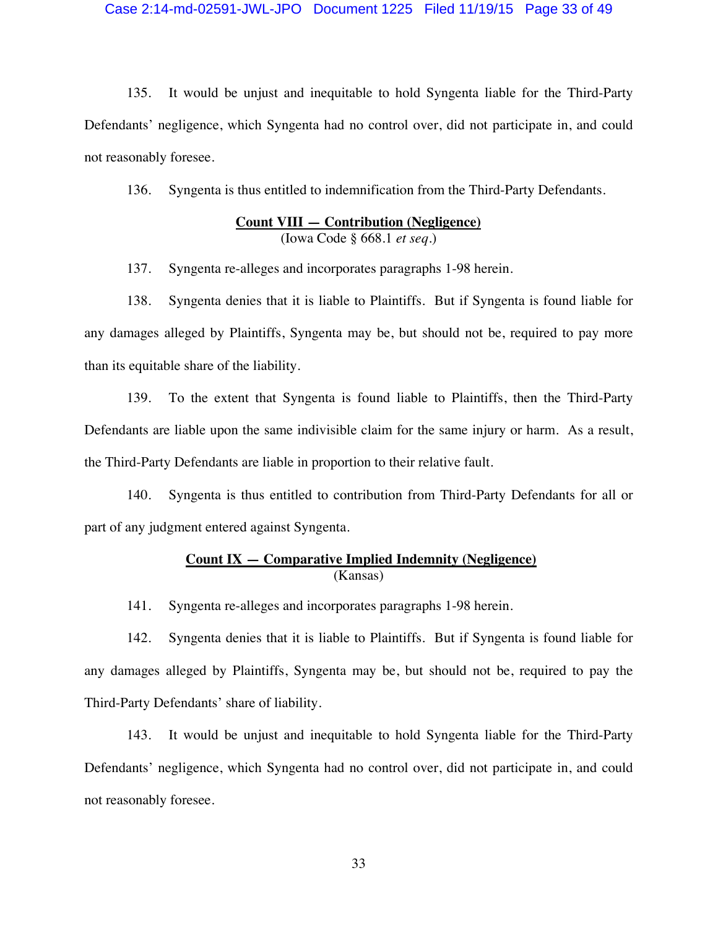### Case 2:14-md-02591-JWL-JPO Document 1225 Filed 11/19/15 Page 33 of 49

135. It would be unjust and inequitable to hold Syngenta liable for the Third-Party Defendants' negligence, which Syngenta had no control over, did not participate in, and could not reasonably foresee.

136. Syngenta is thus entitled to indemnification from the Third-Party Defendants.

## **Count VIII — Contribution (Negligence)**  (Iowa Code § 668.1 *et seq.*)

137. Syngenta re-alleges and incorporates paragraphs 1-98 herein.

138. Syngenta denies that it is liable to Plaintiffs. But if Syngenta is found liable for any damages alleged by Plaintiffs, Syngenta may be, but should not be, required to pay more than its equitable share of the liability.

139. To the extent that Syngenta is found liable to Plaintiffs, then the Third-Party Defendants are liable upon the same indivisible claim for the same injury or harm. As a result, the Third-Party Defendants are liable in proportion to their relative fault.

140. Syngenta is thus entitled to contribution from Third-Party Defendants for all or part of any judgment entered against Syngenta.

### **Count IX — Comparative Implied Indemnity (Negligence)**  (Kansas)

141. Syngenta re-alleges and incorporates paragraphs 1-98 herein.

142. Syngenta denies that it is liable to Plaintiffs. But if Syngenta is found liable for any damages alleged by Plaintiffs, Syngenta may be, but should not be, required to pay the Third-Party Defendants' share of liability.

143. It would be unjust and inequitable to hold Syngenta liable for the Third-Party Defendants' negligence, which Syngenta had no control over, did not participate in, and could not reasonably foresee.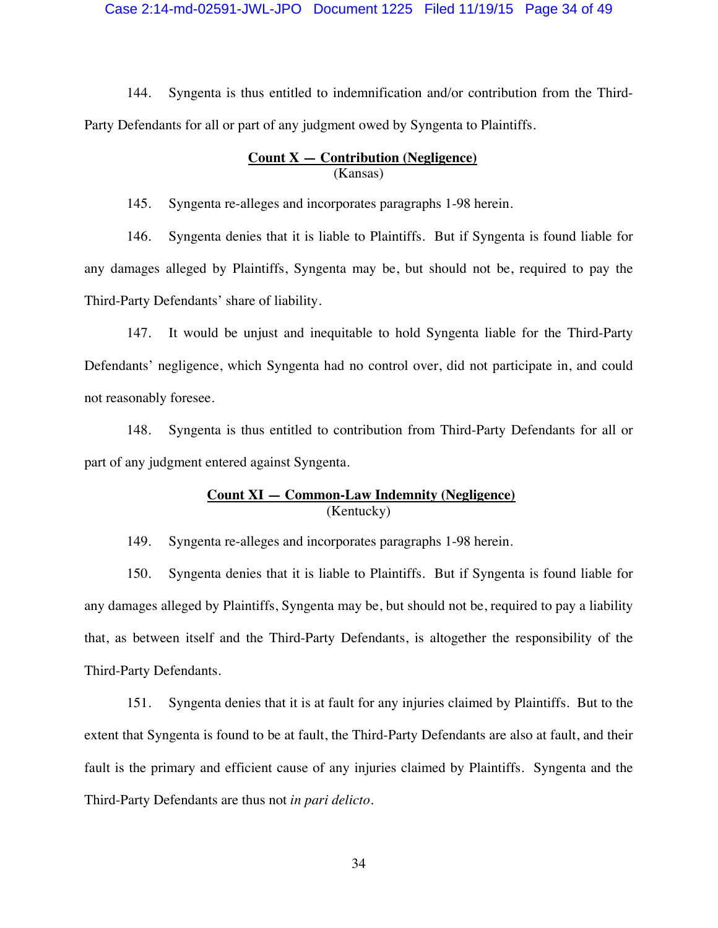### Case 2:14-md-02591-JWL-JPO Document 1225 Filed 11/19/15 Page 34 of 49

144. Syngenta is thus entitled to indemnification and/or contribution from the Third-Party Defendants for all or part of any judgment owed by Syngenta to Plaintiffs.

### **Count X — Contribution (Negligence)**  (Kansas)

145. Syngenta re-alleges and incorporates paragraphs 1-98 herein.

146. Syngenta denies that it is liable to Plaintiffs. But if Syngenta is found liable for any damages alleged by Plaintiffs, Syngenta may be, but should not be, required to pay the Third-Party Defendants' share of liability.

147. It would be unjust and inequitable to hold Syngenta liable for the Third-Party Defendants' negligence, which Syngenta had no control over, did not participate in, and could not reasonably foresee.

148. Syngenta is thus entitled to contribution from Third-Party Defendants for all or part of any judgment entered against Syngenta.

### **Count XI — Common-Law Indemnity (Negligence)**  (Kentucky)

149. Syngenta re-alleges and incorporates paragraphs 1-98 herein.

150. Syngenta denies that it is liable to Plaintiffs. But if Syngenta is found liable for any damages alleged by Plaintiffs, Syngenta may be, but should not be, required to pay a liability that, as between itself and the Third-Party Defendants, is altogether the responsibility of the Third-Party Defendants.

151. Syngenta denies that it is at fault for any injuries claimed by Plaintiffs. But to the extent that Syngenta is found to be at fault, the Third-Party Defendants are also at fault, and their fault is the primary and efficient cause of any injuries claimed by Plaintiffs. Syngenta and the Third-Party Defendants are thus not *in pari delicto*.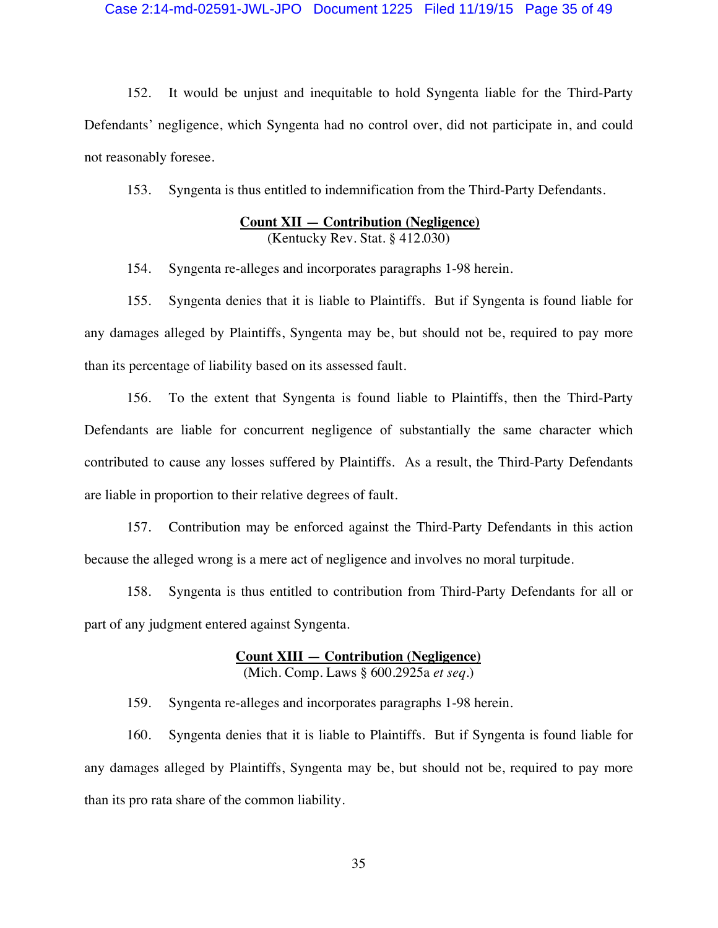### Case 2:14-md-02591-JWL-JPO Document 1225 Filed 11/19/15 Page 35 of 49

152. It would be unjust and inequitable to hold Syngenta liable for the Third-Party Defendants' negligence, which Syngenta had no control over, did not participate in, and could not reasonably foresee.

153. Syngenta is thus entitled to indemnification from the Third-Party Defendants.

## **Count XII — Contribution (Negligence)**  (Kentucky Rev. Stat. § 412.030)

154. Syngenta re-alleges and incorporates paragraphs 1-98 herein.

155. Syngenta denies that it is liable to Plaintiffs. But if Syngenta is found liable for any damages alleged by Plaintiffs, Syngenta may be, but should not be, required to pay more than its percentage of liability based on its assessed fault.

156. To the extent that Syngenta is found liable to Plaintiffs, then the Third-Party Defendants are liable for concurrent negligence of substantially the same character which contributed to cause any losses suffered by Plaintiffs. As a result, the Third-Party Defendants are liable in proportion to their relative degrees of fault.

157. Contribution may be enforced against the Third-Party Defendants in this action because the alleged wrong is a mere act of negligence and involves no moral turpitude.

158. Syngenta is thus entitled to contribution from Third-Party Defendants for all or part of any judgment entered against Syngenta.

### **Count XIII — Contribution (Negligence)**  (Mich. Comp. Laws § 600.2925a *et seq.*)

159. Syngenta re-alleges and incorporates paragraphs 1-98 herein.

160. Syngenta denies that it is liable to Plaintiffs. But if Syngenta is found liable for any damages alleged by Plaintiffs, Syngenta may be, but should not be, required to pay more than its pro rata share of the common liability.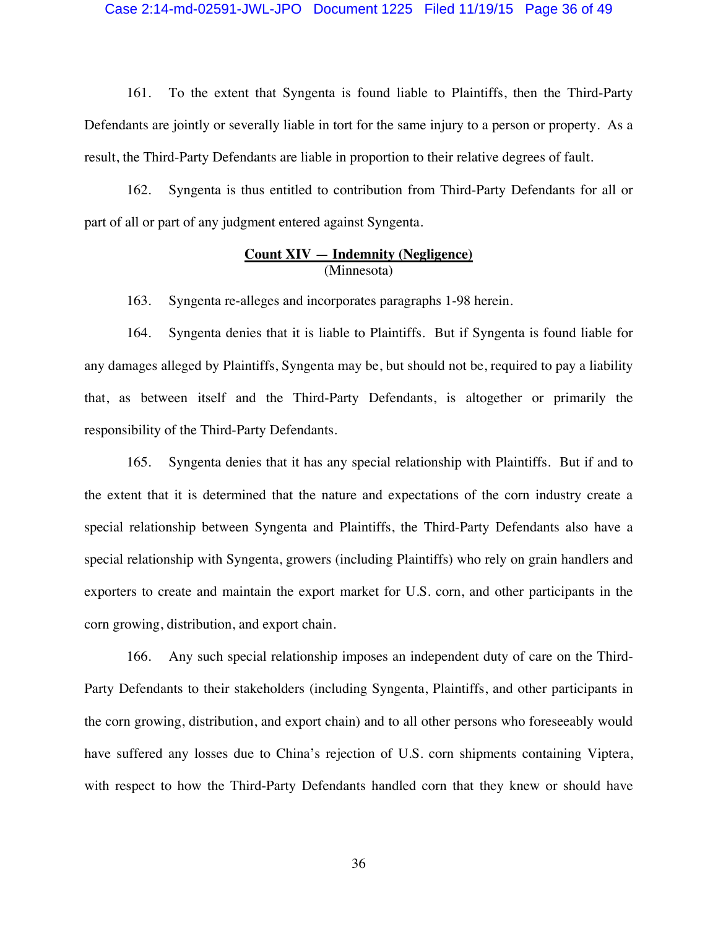### Case 2:14-md-02591-JWL-JPO Document 1225 Filed 11/19/15 Page 36 of 49

161. To the extent that Syngenta is found liable to Plaintiffs, then the Third-Party Defendants are jointly or severally liable in tort for the same injury to a person or property. As a result, the Third-Party Defendants are liable in proportion to their relative degrees of fault.

162. Syngenta is thus entitled to contribution from Third-Party Defendants for all or part of all or part of any judgment entered against Syngenta.

### **Count XIV — Indemnity (Negligence)**  (Minnesota)

163. Syngenta re-alleges and incorporates paragraphs 1-98 herein.

164. Syngenta denies that it is liable to Plaintiffs. But if Syngenta is found liable for any damages alleged by Plaintiffs, Syngenta may be, but should not be, required to pay a liability that, as between itself and the Third-Party Defendants, is altogether or primarily the responsibility of the Third-Party Defendants.

165. Syngenta denies that it has any special relationship with Plaintiffs. But if and to the extent that it is determined that the nature and expectations of the corn industry create a special relationship between Syngenta and Plaintiffs, the Third-Party Defendants also have a special relationship with Syngenta, growers (including Plaintiffs) who rely on grain handlers and exporters to create and maintain the export market for U.S. corn, and other participants in the corn growing, distribution, and export chain.

166. Any such special relationship imposes an independent duty of care on the Third-Party Defendants to their stakeholders (including Syngenta, Plaintiffs, and other participants in the corn growing, distribution, and export chain) and to all other persons who foreseeably would have suffered any losses due to China's rejection of U.S. corn shipments containing Viptera, with respect to how the Third-Party Defendants handled corn that they knew or should have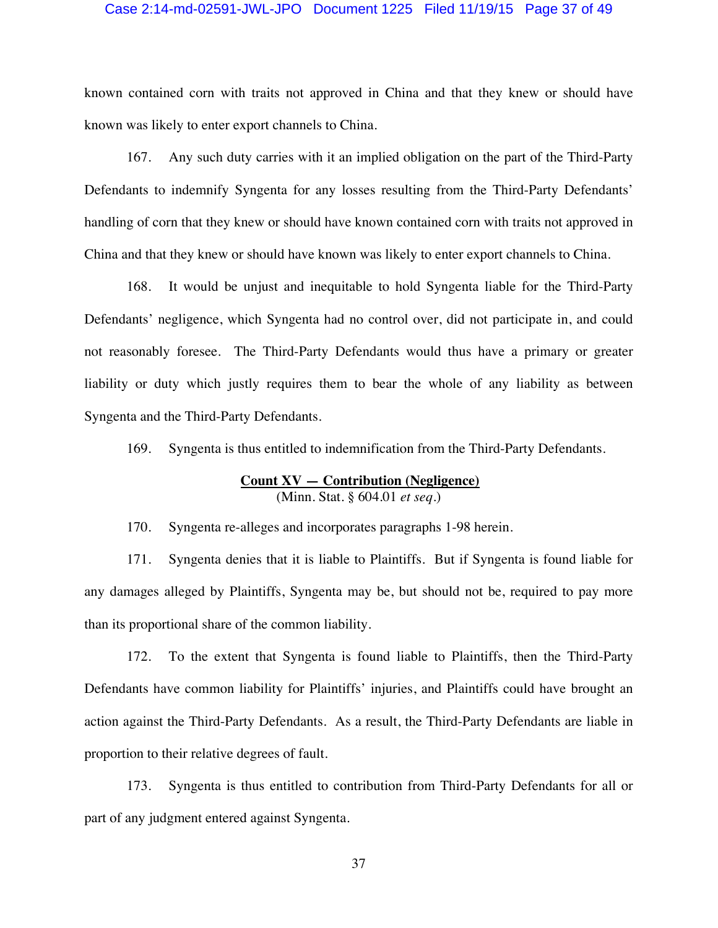#### Case 2:14-md-02591-JWL-JPO Document 1225 Filed 11/19/15 Page 37 of 49

known contained corn with traits not approved in China and that they knew or should have known was likely to enter export channels to China.

167. Any such duty carries with it an implied obligation on the part of the Third-Party Defendants to indemnify Syngenta for any losses resulting from the Third-Party Defendants' handling of corn that they knew or should have known contained corn with traits not approved in China and that they knew or should have known was likely to enter export channels to China.

168. It would be unjust and inequitable to hold Syngenta liable for the Third-Party Defendants' negligence, which Syngenta had no control over, did not participate in, and could not reasonably foresee. The Third-Party Defendants would thus have a primary or greater liability or duty which justly requires them to bear the whole of any liability as between Syngenta and the Third-Party Defendants.

169. Syngenta is thus entitled to indemnification from the Third-Party Defendants.

## **Count XV — Contribution (Negligence)**  (Minn. Stat. § 604.01 *et seq.*)

170. Syngenta re-alleges and incorporates paragraphs 1-98 herein.

171. Syngenta denies that it is liable to Plaintiffs. But if Syngenta is found liable for any damages alleged by Plaintiffs, Syngenta may be, but should not be, required to pay more than its proportional share of the common liability.

172. To the extent that Syngenta is found liable to Plaintiffs, then the Third-Party Defendants have common liability for Plaintiffs' injuries, and Plaintiffs could have brought an action against the Third-Party Defendants. As a result, the Third-Party Defendants are liable in proportion to their relative degrees of fault.

173. Syngenta is thus entitled to contribution from Third-Party Defendants for all or part of any judgment entered against Syngenta.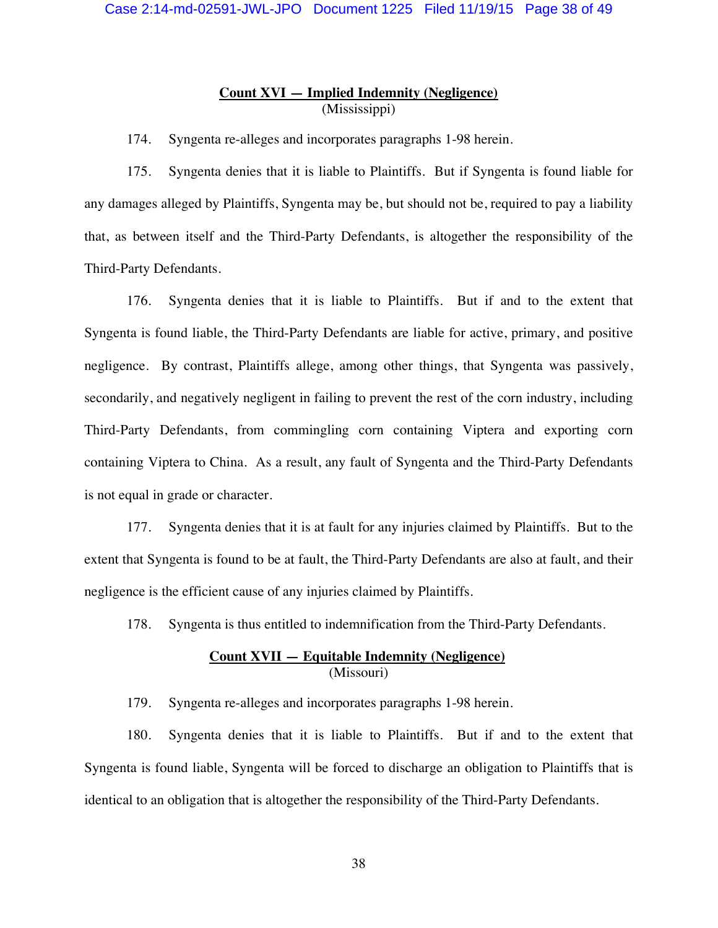## **Count XVI — Implied Indemnity (Negligence)**  (Mississippi)

174. Syngenta re-alleges and incorporates paragraphs 1-98 herein.

175. Syngenta denies that it is liable to Plaintiffs. But if Syngenta is found liable for any damages alleged by Plaintiffs, Syngenta may be, but should not be, required to pay a liability that, as between itself and the Third-Party Defendants, is altogether the responsibility of the Third-Party Defendants.

176. Syngenta denies that it is liable to Plaintiffs. But if and to the extent that Syngenta is found liable, the Third-Party Defendants are liable for active, primary, and positive negligence. By contrast, Plaintiffs allege, among other things, that Syngenta was passively, secondarily, and negatively negligent in failing to prevent the rest of the corn industry, including Third-Party Defendants, from commingling corn containing Viptera and exporting corn containing Viptera to China. As a result, any fault of Syngenta and the Third-Party Defendants is not equal in grade or character.

177. Syngenta denies that it is at fault for any injuries claimed by Plaintiffs. But to the extent that Syngenta is found to be at fault, the Third-Party Defendants are also at fault, and their negligence is the efficient cause of any injuries claimed by Plaintiffs.

178. Syngenta is thus entitled to indemnification from the Third-Party Defendants.

### **Count XVII — Equitable Indemnity (Negligence)**  (Missouri)

179. Syngenta re-alleges and incorporates paragraphs 1-98 herein.

180. Syngenta denies that it is liable to Plaintiffs. But if and to the extent that Syngenta is found liable, Syngenta will be forced to discharge an obligation to Plaintiffs that is identical to an obligation that is altogether the responsibility of the Third-Party Defendants.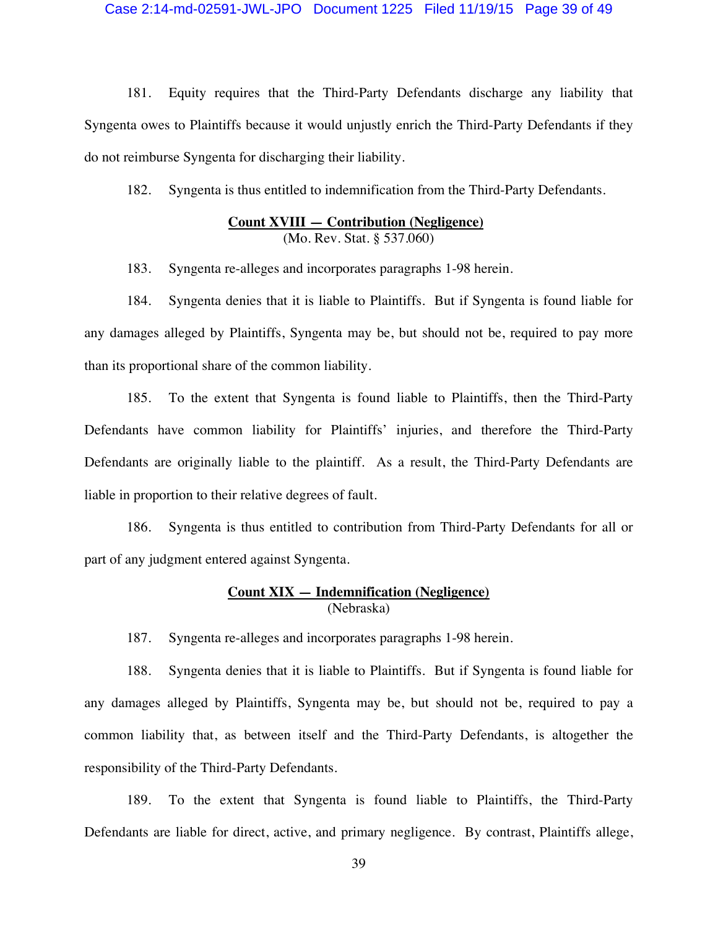### Case 2:14-md-02591-JWL-JPO Document 1225 Filed 11/19/15 Page 39 of 49

181. Equity requires that the Third-Party Defendants discharge any liability that Syngenta owes to Plaintiffs because it would unjustly enrich the Third-Party Defendants if they do not reimburse Syngenta for discharging their liability.

182. Syngenta is thus entitled to indemnification from the Third-Party Defendants.

## **Count XVIII — Contribution (Negligence)**  (Mo. Rev. Stat. § 537.060)

183. Syngenta re-alleges and incorporates paragraphs 1-98 herein.

184. Syngenta denies that it is liable to Plaintiffs. But if Syngenta is found liable for any damages alleged by Plaintiffs, Syngenta may be, but should not be, required to pay more than its proportional share of the common liability.

185. To the extent that Syngenta is found liable to Plaintiffs, then the Third-Party Defendants have common liability for Plaintiffs' injuries, and therefore the Third-Party Defendants are originally liable to the plaintiff. As a result, the Third-Party Defendants are liable in proportion to their relative degrees of fault.

186. Syngenta is thus entitled to contribution from Third-Party Defendants for all or part of any judgment entered against Syngenta.

## **Count XIX — Indemnification (Negligence)**  (Nebraska)

187. Syngenta re-alleges and incorporates paragraphs 1-98 herein.

188. Syngenta denies that it is liable to Plaintiffs. But if Syngenta is found liable for any damages alleged by Plaintiffs, Syngenta may be, but should not be, required to pay a common liability that, as between itself and the Third-Party Defendants, is altogether the responsibility of the Third-Party Defendants.

189. To the extent that Syngenta is found liable to Plaintiffs, the Third-Party Defendants are liable for direct, active, and primary negligence. By contrast, Plaintiffs allege,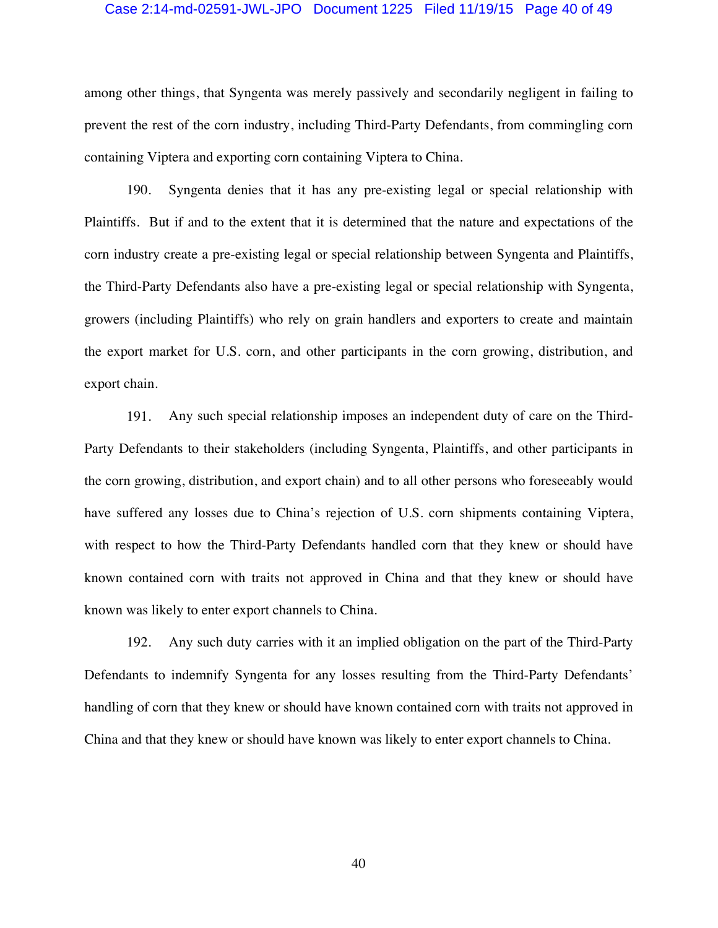#### Case 2:14-md-02591-JWL-JPO Document 1225 Filed 11/19/15 Page 40 of 49

among other things, that Syngenta was merely passively and secondarily negligent in failing to prevent the rest of the corn industry, including Third-Party Defendants, from commingling corn containing Viptera and exporting corn containing Viptera to China.

190. Syngenta denies that it has any pre-existing legal or special relationship with Plaintiffs. But if and to the extent that it is determined that the nature and expectations of the corn industry create a pre-existing legal or special relationship between Syngenta and Plaintiffs, the Third-Party Defendants also have a pre-existing legal or special relationship with Syngenta, growers (including Plaintiffs) who rely on grain handlers and exporters to create and maintain the export market for U.S. corn, and other participants in the corn growing, distribution, and export chain.

191. Any such special relationship imposes an independent duty of care on the Third-Party Defendants to their stakeholders (including Syngenta, Plaintiffs, and other participants in the corn growing, distribution, and export chain) and to all other persons who foreseeably would have suffered any losses due to China's rejection of U.S. corn shipments containing Viptera, with respect to how the Third-Party Defendants handled corn that they knew or should have known contained corn with traits not approved in China and that they knew or should have known was likely to enter export channels to China.

192. Any such duty carries with it an implied obligation on the part of the Third-Party Defendants to indemnify Syngenta for any losses resulting from the Third-Party Defendants' handling of corn that they knew or should have known contained corn with traits not approved in China and that they knew or should have known was likely to enter export channels to China.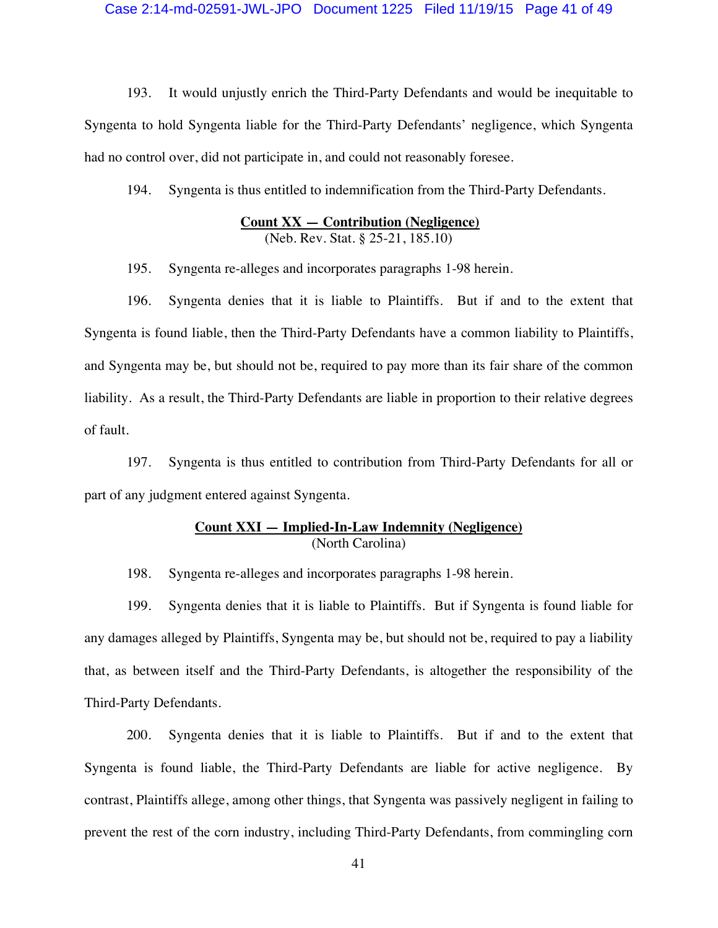#### Case 2:14-md-02591-JWL-JPO Document 1225 Filed 11/19/15 Page 41 of 49

193. It would unjustly enrich the Third-Party Defendants and would be inequitable to Syngenta to hold Syngenta liable for the Third-Party Defendants' negligence, which Syngenta had no control over, did not participate in, and could not reasonably foresee.

194. Syngenta is thus entitled to indemnification from the Third-Party Defendants.

### **Count XX — Contribution (Negligence)**  (Neb. Rev. Stat. § 25-21, 185.10)

195. Syngenta re-alleges and incorporates paragraphs 1-98 herein.

196. Syngenta denies that it is liable to Plaintiffs. But if and to the extent that Syngenta is found liable, then the Third-Party Defendants have a common liability to Plaintiffs, and Syngenta may be, but should not be, required to pay more than its fair share of the common liability. As a result, the Third-Party Defendants are liable in proportion to their relative degrees of fault.

197. Syngenta is thus entitled to contribution from Third-Party Defendants for all or part of any judgment entered against Syngenta.

### **Count XXI — Implied-In-Law Indemnity (Negligence)**  (North Carolina)

198. Syngenta re-alleges and incorporates paragraphs 1-98 herein.

199. Syngenta denies that it is liable to Plaintiffs. But if Syngenta is found liable for any damages alleged by Plaintiffs, Syngenta may be, but should not be, required to pay a liability that, as between itself and the Third-Party Defendants, is altogether the responsibility of the Third-Party Defendants.

200. Syngenta denies that it is liable to Plaintiffs. But if and to the extent that Syngenta is found liable, the Third-Party Defendants are liable for active negligence. By contrast, Plaintiffs allege, among other things, that Syngenta was passively negligent in failing to prevent the rest of the corn industry, including Third-Party Defendants, from commingling corn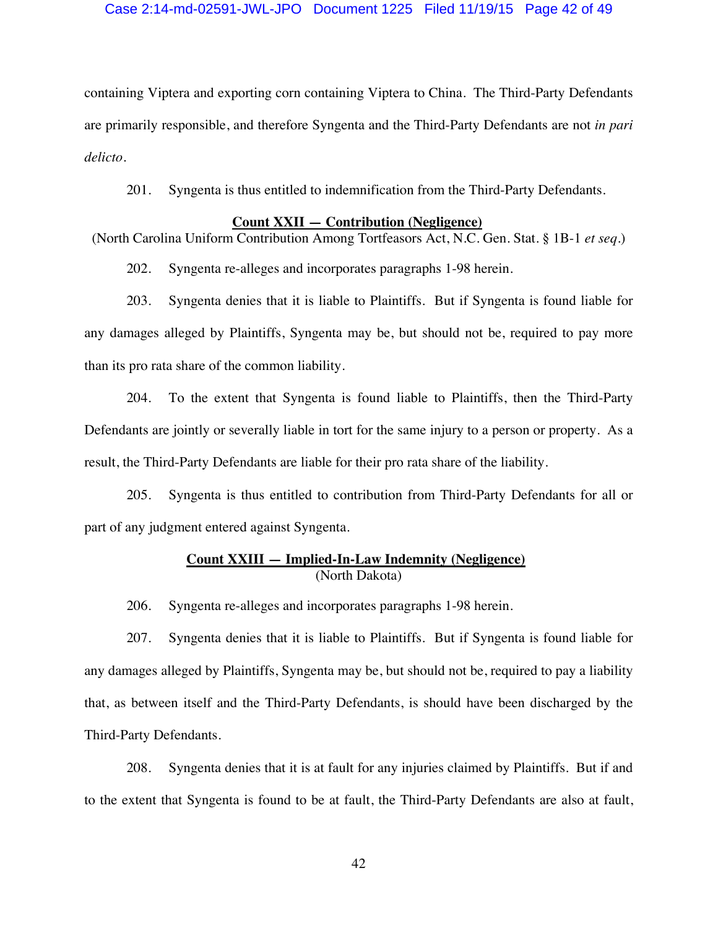### Case 2:14-md-02591-JWL-JPO Document 1225 Filed 11/19/15 Page 42 of 49

containing Viptera and exporting corn containing Viptera to China. The Third-Party Defendants are primarily responsible, and therefore Syngenta and the Third-Party Defendants are not *in pari delicto*.

201. Syngenta is thus entitled to indemnification from the Third-Party Defendants.

### **Count XXII — Contribution (Negligence)**

(North Carolina Uniform Contribution Among Tortfeasors Act, N.C. Gen. Stat. § 1B-1 *et seq.*)

202. Syngenta re-alleges and incorporates paragraphs 1-98 herein.

203. Syngenta denies that it is liable to Plaintiffs. But if Syngenta is found liable for any damages alleged by Plaintiffs, Syngenta may be, but should not be, required to pay more than its pro rata share of the common liability.

204. To the extent that Syngenta is found liable to Plaintiffs, then the Third-Party Defendants are jointly or severally liable in tort for the same injury to a person or property. As a result, the Third-Party Defendants are liable for their pro rata share of the liability.

205. Syngenta is thus entitled to contribution from Third-Party Defendants for all or part of any judgment entered against Syngenta.

## **Count XXIII — Implied-In-Law Indemnity (Negligence)**  (North Dakota)

206. Syngenta re-alleges and incorporates paragraphs 1-98 herein.

207. Syngenta denies that it is liable to Plaintiffs. But if Syngenta is found liable for any damages alleged by Plaintiffs, Syngenta may be, but should not be, required to pay a liability that, as between itself and the Third-Party Defendants, is should have been discharged by the Third-Party Defendants.

208. Syngenta denies that it is at fault for any injuries claimed by Plaintiffs. But if and to the extent that Syngenta is found to be at fault, the Third-Party Defendants are also at fault,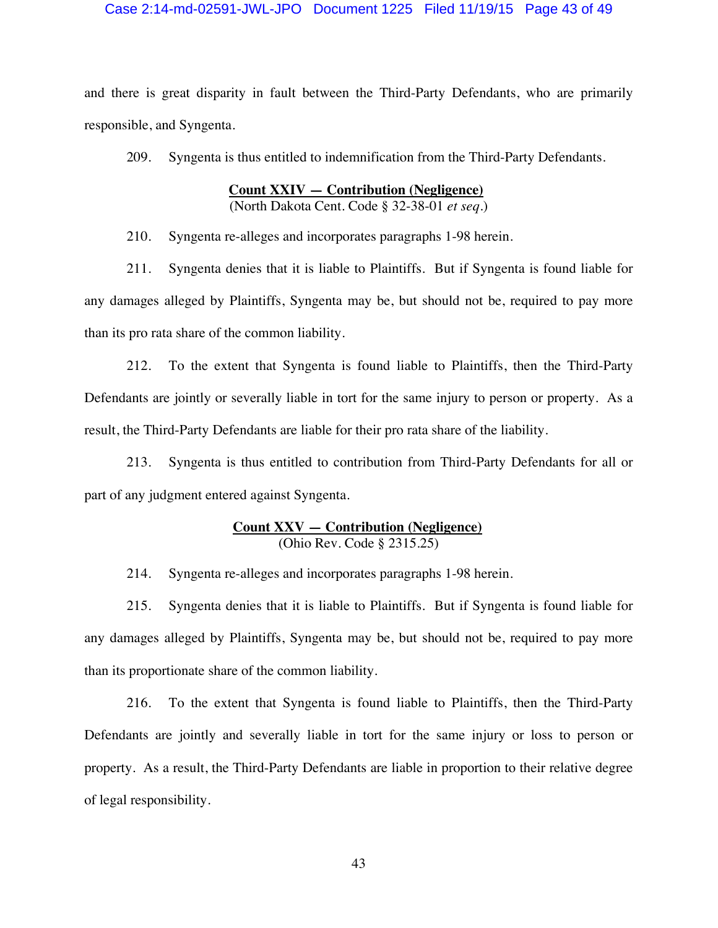### Case 2:14-md-02591-JWL-JPO Document 1225 Filed 11/19/15 Page 43 of 49

and there is great disparity in fault between the Third-Party Defendants, who are primarily responsible, and Syngenta.

209. Syngenta is thus entitled to indemnification from the Third-Party Defendants.

## **Count XXIV — Contribution (Negligence)**

(North Dakota Cent. Code § 32-38-01 *et seq*.)

210. Syngenta re-alleges and incorporates paragraphs 1-98 herein.

211. Syngenta denies that it is liable to Plaintiffs. But if Syngenta is found liable for any damages alleged by Plaintiffs, Syngenta may be, but should not be, required to pay more than its pro rata share of the common liability.

212. To the extent that Syngenta is found liable to Plaintiffs, then the Third-Party Defendants are jointly or severally liable in tort for the same injury to person or property. As a result, the Third-Party Defendants are liable for their pro rata share of the liability.

213. Syngenta is thus entitled to contribution from Third-Party Defendants for all or part of any judgment entered against Syngenta.

### **Count XXV — Contribution (Negligence)**  (Ohio Rev. Code § 2315.25)

214. Syngenta re-alleges and incorporates paragraphs 1-98 herein.

215. Syngenta denies that it is liable to Plaintiffs. But if Syngenta is found liable for any damages alleged by Plaintiffs, Syngenta may be, but should not be, required to pay more than its proportionate share of the common liability.

216. To the extent that Syngenta is found liable to Plaintiffs, then the Third-Party Defendants are jointly and severally liable in tort for the same injury or loss to person or property. As a result, the Third-Party Defendants are liable in proportion to their relative degree of legal responsibility.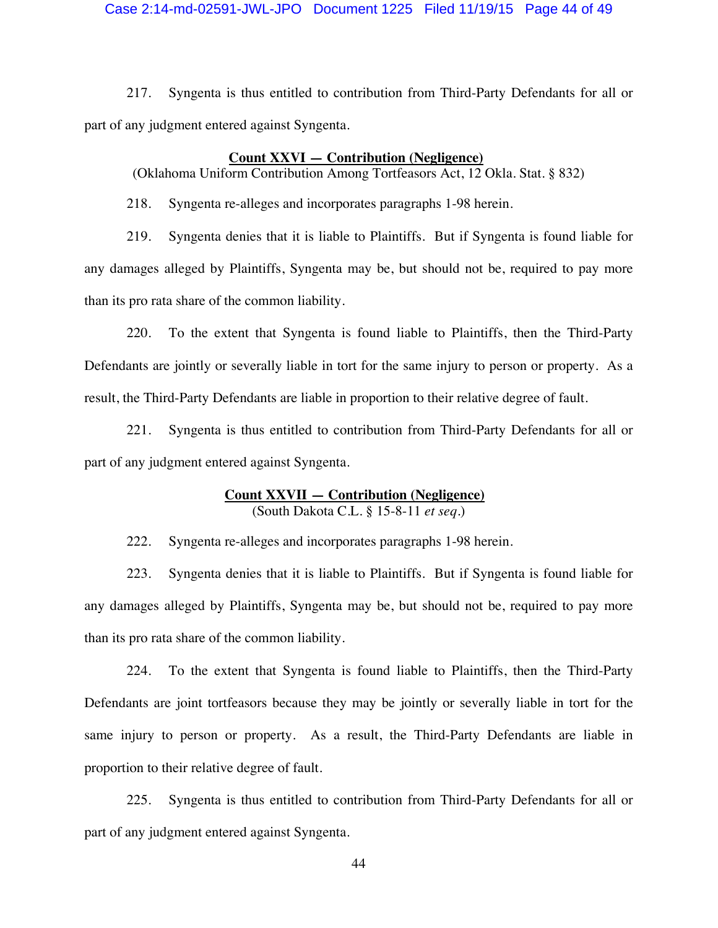Case 2:14-md-02591-JWL-JPO Document 1225 Filed 11/19/15 Page 44 of 49

217. Syngenta is thus entitled to contribution from Third-Party Defendants for all or part of any judgment entered against Syngenta.

### **Count XXVI — Contribution (Negligence)**

(Oklahoma Uniform Contribution Among Tortfeasors Act, 12 Okla. Stat. § 832)

218. Syngenta re-alleges and incorporates paragraphs 1-98 herein.

219. Syngenta denies that it is liable to Plaintiffs. But if Syngenta is found liable for any damages alleged by Plaintiffs, Syngenta may be, but should not be, required to pay more than its pro rata share of the common liability.

220. To the extent that Syngenta is found liable to Plaintiffs, then the Third-Party Defendants are jointly or severally liable in tort for the same injury to person or property. As a result, the Third-Party Defendants are liable in proportion to their relative degree of fault.

221. Syngenta is thus entitled to contribution from Third-Party Defendants for all or part of any judgment entered against Syngenta.

# **Count XXVII — Contribution (Negligence)**

(South Dakota C.L. § 15-8-11 *et seq.*)

222. Syngenta re-alleges and incorporates paragraphs 1-98 herein.

223. Syngenta denies that it is liable to Plaintiffs. But if Syngenta is found liable for any damages alleged by Plaintiffs, Syngenta may be, but should not be, required to pay more than its pro rata share of the common liability.

224. To the extent that Syngenta is found liable to Plaintiffs, then the Third-Party Defendants are joint tortfeasors because they may be jointly or severally liable in tort for the same injury to person or property. As a result, the Third-Party Defendants are liable in proportion to their relative degree of fault.

225. Syngenta is thus entitled to contribution from Third-Party Defendants for all or part of any judgment entered against Syngenta.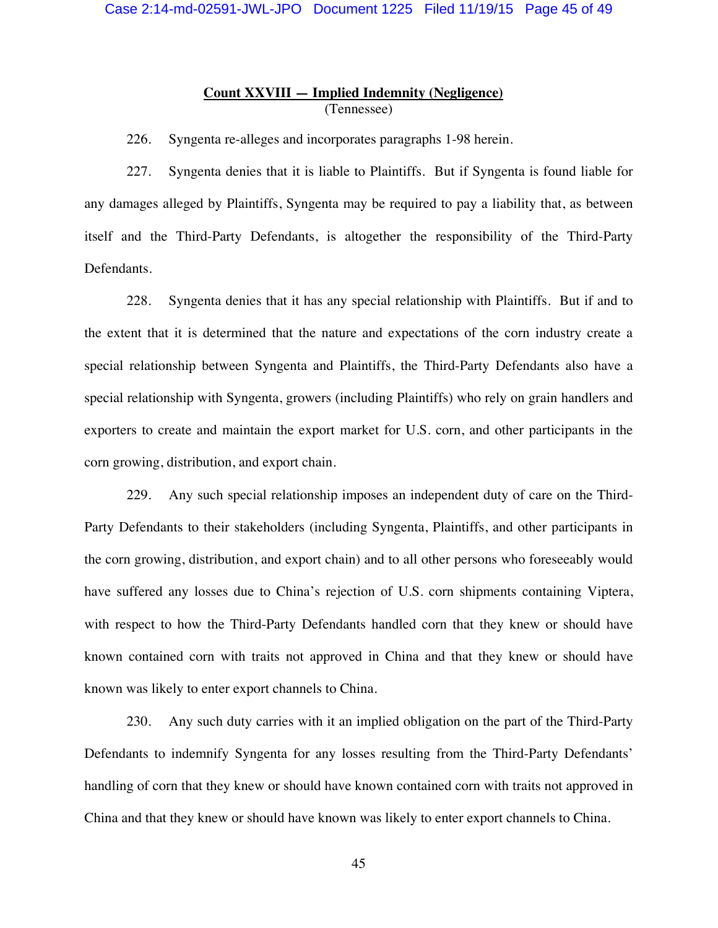## **Count XXVIII — Implied Indemnity (Negligence)**  (Tennessee)

226. Syngenta re-alleges and incorporates paragraphs 1-98 herein.

227. Syngenta denies that it is liable to Plaintiffs. But if Syngenta is found liable for any damages alleged by Plaintiffs, Syngenta may be required to pay a liability that, as between itself and the Third-Party Defendants, is altogether the responsibility of the Third-Party Defendants.

228. Syngenta denies that it has any special relationship with Plaintiffs. But if and to the extent that it is determined that the nature and expectations of the corn industry create a special relationship between Syngenta and Plaintiffs, the Third-Party Defendants also have a special relationship with Syngenta, growers (including Plaintiffs) who rely on grain handlers and exporters to create and maintain the export market for U.S. corn, and other participants in the corn growing, distribution, and export chain.

229. Any such special relationship imposes an independent duty of care on the Third-Party Defendants to their stakeholders (including Syngenta, Plaintiffs, and other participants in the corn growing, distribution, and export chain) and to all other persons who foreseeably would have suffered any losses due to China's rejection of U.S. corn shipments containing Viptera, with respect to how the Third-Party Defendants handled corn that they knew or should have known contained corn with traits not approved in China and that they knew or should have known was likely to enter export channels to China.

230. Any such duty carries with it an implied obligation on the part of the Third-Party Defendants to indemnify Syngenta for any losses resulting from the Third-Party Defendants' handling of corn that they knew or should have known contained corn with traits not approved in China and that they knew or should have known was likely to enter export channels to China.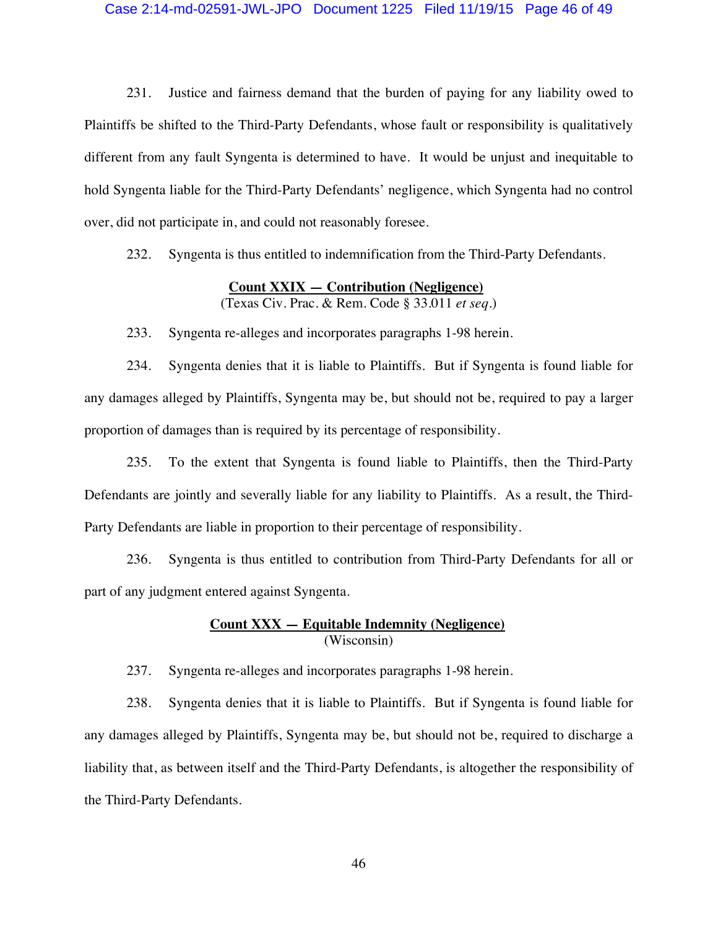### Case 2:14-md-02591-JWL-JPO Document 1225 Filed 11/19/15 Page 46 of 49

231. Justice and fairness demand that the burden of paying for any liability owed to Plaintiffs be shifted to the Third-Party Defendants, whose fault or responsibility is qualitatively different from any fault Syngenta is determined to have. It would be unjust and inequitable to hold Syngenta liable for the Third-Party Defendants' negligence, which Syngenta had no control over, did not participate in, and could not reasonably foresee.

232. Syngenta is thus entitled to indemnification from the Third-Party Defendants.

### **Count XXIX — Contribution (Negligence)**

(Texas Civ. Prac. & Rem. Code § 33.011 *et seq.*)

233. Syngenta re-alleges and incorporates paragraphs 1-98 herein.

234. Syngenta denies that it is liable to Plaintiffs. But if Syngenta is found liable for any damages alleged by Plaintiffs, Syngenta may be, but should not be, required to pay a larger proportion of damages than is required by its percentage of responsibility.

235. To the extent that Syngenta is found liable to Plaintiffs, then the Third-Party Defendants are jointly and severally liable for any liability to Plaintiffs. As a result, the Third-Party Defendants are liable in proportion to their percentage of responsibility.

236. Syngenta is thus entitled to contribution from Third-Party Defendants for all or part of any judgment entered against Syngenta.

## **Count XXX — Equitable Indemnity (Negligence)**  (Wisconsin)

237. Syngenta re-alleges and incorporates paragraphs 1-98 herein.

238. Syngenta denies that it is liable to Plaintiffs. But if Syngenta is found liable for any damages alleged by Plaintiffs, Syngenta may be, but should not be, required to discharge a liability that, as between itself and the Third-Party Defendants, is altogether the responsibility of the Third-Party Defendants.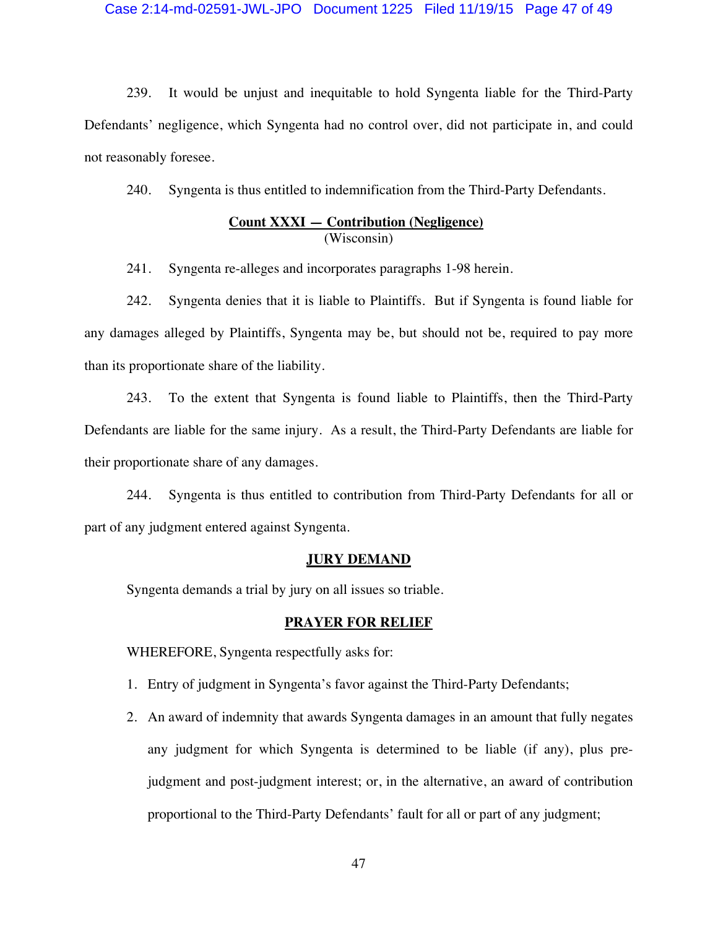### Case 2:14-md-02591-JWL-JPO Document 1225 Filed 11/19/15 Page 47 of 49

239. It would be unjust and inequitable to hold Syngenta liable for the Third-Party Defendants' negligence, which Syngenta had no control over, did not participate in, and could not reasonably foresee.

240. Syngenta is thus entitled to indemnification from the Third-Party Defendants.

## **Count XXXI — Contribution (Negligence)**  (Wisconsin)

241. Syngenta re-alleges and incorporates paragraphs 1-98 herein.

242. Syngenta denies that it is liable to Plaintiffs. But if Syngenta is found liable for any damages alleged by Plaintiffs, Syngenta may be, but should not be, required to pay more than its proportionate share of the liability.

243. To the extent that Syngenta is found liable to Plaintiffs, then the Third-Party Defendants are liable for the same injury. As a result, the Third-Party Defendants are liable for their proportionate share of any damages.

244. Syngenta is thus entitled to contribution from Third-Party Defendants for all or part of any judgment entered against Syngenta.

### **JURY DEMAND**

Syngenta demands a trial by jury on all issues so triable.

#### **PRAYER FOR RELIEF**

WHEREFORE, Syngenta respectfully asks for:

- 1. Entry of judgment in Syngenta's favor against the Third-Party Defendants;
- 2. An award of indemnity that awards Syngenta damages in an amount that fully negates any judgment for which Syngenta is determined to be liable (if any), plus prejudgment and post-judgment interest; or, in the alternative, an award of contribution proportional to the Third-Party Defendants' fault for all or part of any judgment;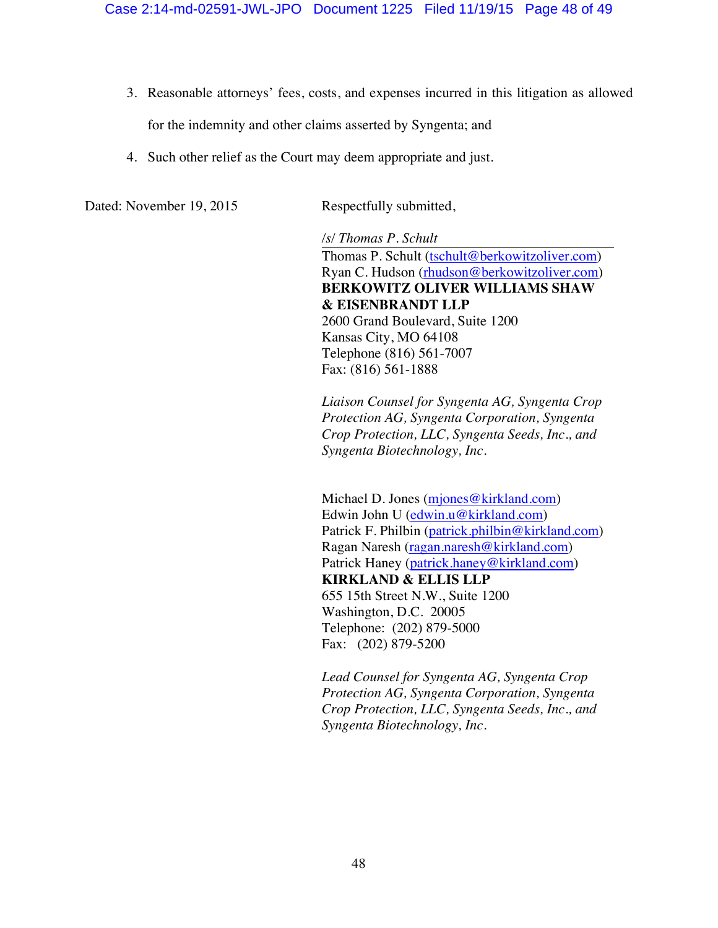- 3. Reasonable attorneys' fees, costs, and expenses incurred in this litigation as allowed for the indemnity and other claims asserted by Syngenta; and
- 4. Such other relief as the Court may deem appropriate and just.

Dated: November 19, 2015 Respectfully submitted,

*/s/ Thomas P. Schult*  Thomas P. Schult (tschult@berkowitzoliver.com) Ryan C. Hudson (rhudson@berkowitzoliver.com) **BERKOWITZ OLIVER WILLIAMS SHAW & EISENBRANDT LLP** 2600 Grand Boulevard, Suite 1200 Kansas City, MO 64108 Telephone (816) 561-7007 Fax: (816) 561-1888

*Liaison Counsel for Syngenta AG, Syngenta Crop Protection AG, Syngenta Corporation, Syngenta Crop Protection, LLC, Syngenta Seeds, Inc., and Syngenta Biotechnology, Inc.* 

Michael D. Jones (mjones@kirkland.com) Edwin John U (edwin.u@kirkland.com) Patrick F. Philbin (patrick.philbin@kirkland.com) Ragan Naresh (ragan.naresh@kirkland.com) Patrick Haney (patrick.haney@kirkland.com) **KIRKLAND & ELLIS LLP** 655 15th Street N.W., Suite 1200 Washington, D.C. 20005 Telephone: (202) 879-5000 Fax: (202) 879-5200

*Lead Counsel for Syngenta AG, Syngenta Crop Protection AG, Syngenta Corporation, Syngenta Crop Protection, LLC, Syngenta Seeds, Inc., and Syngenta Biotechnology, Inc.*